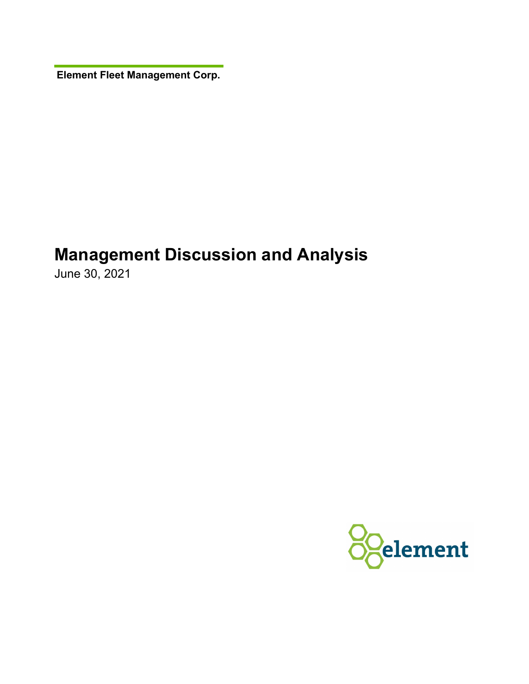**Element Fleet Management Corp.** 

# **Management Discussion and Analysis**

June 30, 2021

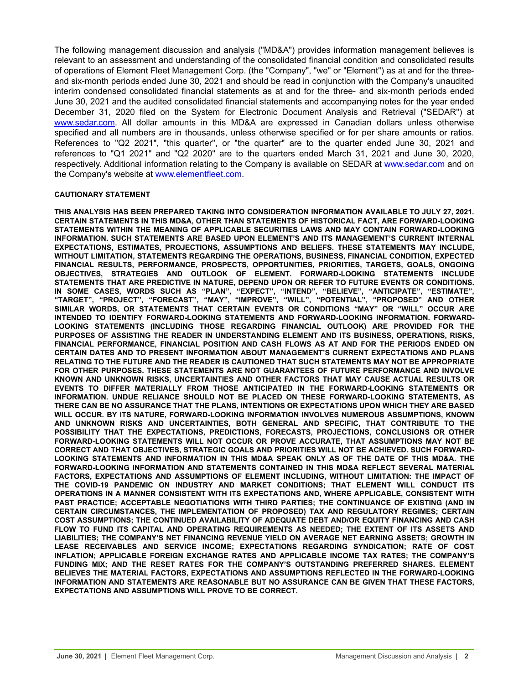The following management discussion and analysis ("MD&A") provides information management believes is relevant to an assessment and understanding of the consolidated financial condition and consolidated results of operations of Element Fleet Management Corp. (the "Company", "we" or "Element") as at and for the threeand six-month periods ended June 30, 2021 and should be read in conjunction with the Company's unaudited interim condensed consolidated financial statements as at and for the three- and six-month periods ended June 30, 2021 and the audited consolidated financial statements and accompanying notes for the year ended December 31, 2020 filed on the System for Electronic Document Analysis and Retrieval ("SEDAR") at [www.sedar.com.](http://www.sedar.com) All dollar amounts in this MD&A are expressed in Canadian dollars unless otherwise specified and all numbers are in thousands, unless otherwise specified or for per share amounts or ratios. References to "Q2 2021", "this quarter", or "the quarter" are to the quarter ended June 30, 2021 and references to "Q1 2021" and "Q2 2020" are to the quarters ended March 31, 2021 and June 30, 2020, respectively. Additional information relating to the Company is available on SEDAR at [www.sedar.com](http://www.sedar.com) and on the Company's website at [www.elementfleet.com.](http://www.elementfleet.com)

#### **CAUTIONARY STATEMENT**

**THIS ANALYSIS HAS BEEN PREPARED TAKING INTO CONSIDERATION INFORMATION AVAILABLE TO JULY 27, 2021. CERTAIN STATEMENTS IN THIS MD&A, OTHER THAN STATEMENTS OF HISTORICAL FACT, ARE FORWARD-LOOKING STATEMENTS WITHIN THE MEANING OF APPLICABLE SECURITIES LAWS AND MAY CONTAIN FORWARD-LOOKING INFORMATION. SUCH STATEMENTS ARE BASED UPON ELEMENT'S AND ITS MANAGEMENT'S CURRENT INTERNAL EXPECTATIONS, ESTIMATES, PROJECTIONS, ASSUMPTIONS AND BELIEFS. THESE STATEMENTS MAY INCLUDE, WITHOUT LIMITATION, STATEMENTS REGARDING THE OPERATIONS, BUSINESS, FINANCIAL CONDITION, EXPECTED FINANCIAL RESULTS, PERFORMANCE, PROSPECTS, OPPORTUNITIES, PRIORITIES, TARGETS, GOALS, ONGOING OBJECTIVES, STRATEGIES AND OUTLOOK OF ELEMENT. FORWARD-LOOKING STATEMENTS INCLUDE STATEMENTS THAT ARE PREDICTIVE IN NATURE, DEPEND UPON OR REFER TO FUTURE EVENTS OR CONDITIONS. IN SOME CASES, WORDS SUCH AS "PLAN", "EXPECT", "INTEND", "BELIEVE", "ANTICIPATE", "ESTIMATE", "TARGET", "PROJECT", "FORECAST", "MAY", "IMPROVE", "WILL", "POTENTIAL", "PROPOSED" AND OTHER SIMILAR WORDS, OR STATEMENTS THAT CERTAIN EVENTS OR CONDITIONS "MAY" OR "WILL" OCCUR ARE INTENDED TO IDENTIFY FORWARD-LOOKING STATEMENTS AND FORWARD-LOOKING INFORMATION. FORWARD-LOOKING STATEMENTS (INCLUDING THOSE REGARDING FINANCIAL OUTLOOK) ARE PROVIDED FOR THE PURPOSES OF ASSISTING THE READER IN UNDERSTANDING ELEMENT AND ITS BUSINESS, OPERATIONS, RISKS, FINANCIAL PERFORMANCE, FINANCIAL POSITION AND CASH FLOWS AS AT AND FOR THE PERIODS ENDED ON CERTAIN DATES AND TO PRESENT INFORMATION ABOUT MANAGEMENT'S CURRENT EXPECTATIONS AND PLANS RELATING TO THE FUTURE AND THE READER IS CAUTIONED THAT SUCH STATEMENTS MAY NOT BE APPROPRIATE FOR OTHER PURPOSES. THESE STATEMENTS ARE NOT GUARANTEES OF FUTURE PERFORMANCE AND INVOLVE KNOWN AND UNKNOWN RISKS, UNCERTAINTIES AND OTHER FACTORS THAT MAY CAUSE ACTUAL RESULTS OR EVENTS TO DIFFER MATERIALLY FROM THOSE ANTICIPATED IN THE FORWARD-LOOKING STATEMENTS OR INFORMATION. UNDUE RELIANCE SHOULD NOT BE PLACED ON THESE FORWARD-LOOKING STATEMENTS, AS THERE CAN BE NO ASSURANCE THAT THE PLANS, INTENTIONS OR EXPECTATIONS UPON WHICH THEY ARE BASED WILL OCCUR. BY ITS NATURE, FORWARD-LOOKING INFORMATION INVOLVES NUMEROUS ASSUMPTIONS, KNOWN AND UNKNOWN RISKS AND UNCERTAINTIES, BOTH GENERAL AND SPECIFIC, THAT CONTRIBUTE TO THE POSSIBILITY THAT THE EXPECTATIONS, PREDICTIONS, FORECASTS, PROJECTIONS, CONCLUSIONS OR OTHER FORWARD-LOOKING STATEMENTS WILL NOT OCCUR OR PROVE ACCURATE, THAT ASSUMPTIONS MAY NOT BE CORRECT AND THAT OBJECTIVES, STRATEGIC GOALS AND PRIORITIES WILL NOT BE ACHIEVED. SUCH FORWARD-LOOKING STATEMENTS AND INFORMATION IN THIS MD&A SPEAK ONLY AS OF THE DATE OF THIS MD&A. THE FORWARD-LOOKING INFORMATION AND STATEMENTS CONTAINED IN THIS MD&A REFLECT SEVERAL MATERIAL FACTORS, EXPECTATIONS AND ASSUMPTIONS OF ELEMENT INCLUDING, WITHOUT LIMITATION: THE IMPACT OF THE COVID-19 PANDEMIC ON INDUSTRY AND MARKET CONDITIONS; THAT ELEMENT WILL CONDUCT ITS OPERATIONS IN A MANNER CONSISTENT WITH ITS EXPECTATIONS AND, WHERE APPLICABLE, CONSISTENT WITH PAST PRACTICE; ACCEPTABLE NEGOTIATIONS WITH THIRD PARTIES; THE CONTINUANCE OF EXISTING (AND IN CERTAIN CIRCUMSTANCES, THE IMPLEMENTATION OF PROPOSED) TAX AND REGULATORY REGIMES; CERTAIN COST ASSUMPTIONS; THE CONTINUED AVAILABILITY OF ADEQUATE DEBT AND/OR EQUITY FINANCING AND CASH FLOW TO FUND ITS CAPITAL AND OPERATING REQUIREMENTS AS NEEDED; THE EXTENT OF ITS ASSETS AND LIABILITIES; THE COMPANY'S NET FINANCING REVENUE YIELD ON AVERAGE NET EARNING ASSETS; GROWTH IN LEASE RECEIVABLES AND SERVICE INCOME; EXPECTATIONS REGARDING SYNDICATION; RATE OF COST INFLATION; APPLICABLE FOREIGN EXCHANGE RATES AND APPLICABLE INCOME TAX RATES; THE COMPANY'S FUNDING MIX; AND THE RESET RATES FOR THE COMPANY'S OUTSTANDING PREFERRED SHARES. ELEMENT BELIEVES THE MATERIAL FACTORS, EXPECTATIONS AND ASSUMPTIONS REFLECTED IN THE FORWARD-LOOKING INFORMATION AND STATEMENTS ARE REASONABLE BUT NO ASSURANCE CAN BE GIVEN THAT THESE FACTORS, EXPECTATIONS AND ASSUMPTIONS WILL PROVE TO BE CORRECT.**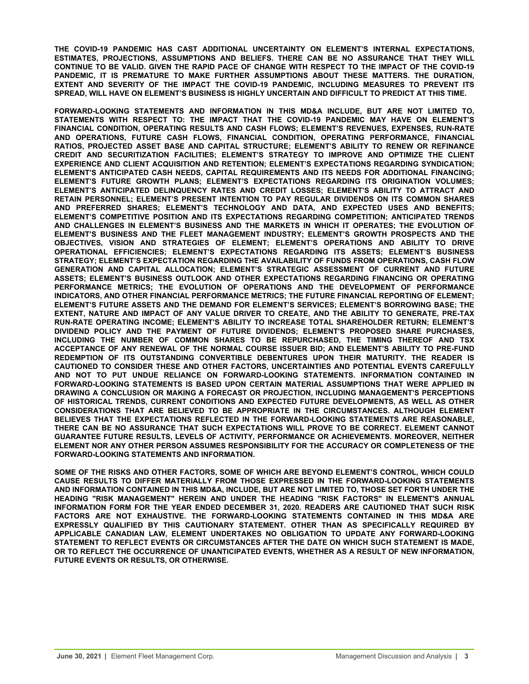**THE COVID-19 PANDEMIC HAS CAST ADDITIONAL UNCERTAINTY ON ELEMENT'S INTERNAL EXPECTATIONS, ESTIMATES, PROJECTIONS, ASSUMPTIONS AND BELIEFS. THERE CAN BE NO ASSURANCE THAT THEY WILL CONTINUE TO BE VALID. GIVEN THE RAPID PACE OF CHANGE WITH RESPECT TO THE IMPACT OF THE COVID-19 PANDEMIC, IT IS PREMATURE TO MAKE FURTHER ASSUMPTIONS ABOUT THESE MATTERS. THE DURATION, EXTENT AND SEVERITY OF THE IMPACT THE COVID-19 PANDEMIC, INCLUDING MEASURES TO PREVENT ITS SPREAD, WILL HAVE ON ELEMENT'S BUSINESS IS HIGHLY UNCERTAIN AND DIFFICULT TO PREDICT AT THIS TIME.**

**FORWARD-LOOKING STATEMENTS AND INFORMATION IN THIS MD&A INCLUDE, BUT ARE NOT LIMITED TO, STATEMENTS WITH RESPECT TO: THE IMPACT THAT THE COVID-19 PANDEMIC MAY HAVE ON ELEMENT'S FINANCIAL CONDITION, OPERATING RESULTS AND CASH FLOWS; ELEMENT'S REVENUES, EXPENSES, RUN-RATE AND OPERATIONS, FUTURE CASH FLOWS, FINANCIAL CONDITION, OPERATING PERFORMANCE, FINANCIAL RATIOS, PROJECTED ASSET BASE AND CAPITAL STRUCTURE; ELEMENT'S ABILITY TO RENEW OR REFINANCE CREDIT AND SECURITIZATION FACILITIES; ELEMENT'S STRATEGY TO IMPROVE AND OPTIMIZE THE CLIENT EXPERIENCE AND CLIENT ACQUISITION AND RETENTION; ELEMENT'S EXPECTATIONS REGARDING SYNDICATION; ELEMENT'S ANTICIPATED CASH NEEDS, CAPITAL REQUIREMENTS AND ITS NEEDS FOR ADDITIONAL FINANCING; ELEMENT'S FUTURE GROWTH PLANS; ELEMENT'S EXPECTATIONS REGARDING ITS ORIGINATION VOLUMES; ELEMENT'S ANTICIPATED DELINQUENCY RATES AND CREDIT LOSSES; ELEMENT'S ABILITY TO ATTRACT AND RETAIN PERSONNEL; ELEMENT'S PRESENT INTENTION TO PAY REGULAR DIVIDENDS ON ITS COMMON SHARES AND PREFERRED SHARES; ELEMENT'S TECHNOLOGY AND DATA, AND EXPECTED USES AND BENEFITS; ELEMENT'S COMPETITIVE POSITION AND ITS EXPECTATIONS REGARDING COMPETITION; ANTICIPATED TRENDS AND CHALLENGES IN ELEMENT'S BUSINESS AND THE MARKETS IN WHICH IT OPERATES; THE EVOLUTION OF ELEMENT'S BUSINESS AND THE FLEET MANAGEMENT INDUSTRY; ELEMENT'S GROWTH PROSPECTS AND THE OBJECTIVES, VISION AND STRATEGIES OF ELEMENT; ELEMENT'S OPERATIONS AND ABILITY TO DRIVE OPERATIONAL EFFICIENCIES; ELEMENT'S EXPECTATIONS REGARDING ITS ASSETS; ELEMENT'S BUSINESS STRATEGY; ELEMENT'S EXPECTATION REGARDING THE AVAILABILITY OF FUNDS FROM OPERATIONS, CASH FLOW GENERATION AND CAPITAL ALLOCATION; ELEMENT'S STRATEGIC ASSESSMENT OF CURRENT AND FUTURE ASSETS; ELEMENT'S BUSINESS OUTLOOK AND OTHER EXPECTATIONS REGARDING FINANCING OR OPERATING PERFORMANCE METRICS; THE EVOLUTION OF OPERATIONS AND THE DEVELOPMENT OF PERFORMANCE INDICATORS, AND OTHER FINANCIAL PERFORMANCE METRICS; THE FUTURE FINANCIAL REPORTING OF ELEMENT; ELEMENT'S FUTURE ASSETS AND THE DEMAND FOR ELEMENT'S SERVICES; ELEMENT'S BORROWING BASE; THE EXTENT, NATURE AND IMPACT OF ANY VALUE DRIVER TO CREATE, AND THE ABILITY TO GENERATE, PRE-TAX RUN-RATE OPERATING INCOME; ELEMENT'S ABILITY TO INCREASE TOTAL SHAREHOLDER RETURN; ELEMENT'S DIVIDEND POLICY AND THE PAYMENT OF FUTURE DIVIDENDS; ELEMENT'S PROPOSED SHARE PURCHASES, INCLUDING THE NUMBER OF COMMON SHARES TO BE REPURCHASED, THE TIMING THEREOF AND TSX ACCEPTANCE OF ANY RENEWAL OF THE NORMAL COURSE ISSUER BID; AND ELEMENT'S ABILITY TO PRE-FUND REDEMPTION OF ITS OUTSTANDING CONVERTIBLE DEBENTURES UPON THEIR MATURITY. THE READER IS CAUTIONED TO CONSIDER THESE AND OTHER FACTORS, UNCERTAINTIES AND POTENTIAL EVENTS CAREFULLY AND NOT TO PUT UNDUE RELIANCE ON FORWARD-LOOKING STATEMENTS. INFORMATION CONTAINED IN FORWARD-LOOKING STATEMENTS IS BASED UPON CERTAIN MATERIAL ASSUMPTIONS THAT WERE APPLIED IN DRAWING A CONCLUSION OR MAKING A FORECAST OR PROJECTION, INCLUDING MANAGEMENT'S PERCEPTIONS OF HISTORICAL TRENDS, CURRENT CONDITIONS AND EXPECTED FUTURE DEVELOPMENTS, AS WELL AS OTHER CONSIDERATIONS THAT ARE BELIEVED TO BE APPROPRIATE IN THE CIRCUMSTANCES. ALTHOUGH ELEMENT BELIEVES THAT THE EXPECTATIONS REFLECTED IN THE FORWARD-LOOKING STATEMENTS ARE REASONABLE, THERE CAN BE NO ASSURANCE THAT SUCH EXPECTATIONS WILL PROVE TO BE CORRECT. ELEMENT CANNOT GUARANTEE FUTURE RESULTS, LEVELS OF ACTIVITY, PERFORMANCE OR ACHIEVEMENTS. MOREOVER, NEITHER ELEMENT NOR ANY OTHER PERSON ASSUMES RESPONSIBILITY FOR THE ACCURACY OR COMPLETENESS OF THE FORWARD-LOOKING STATEMENTS AND INFORMATION.** 

**SOME OF THE RISKS AND OTHER FACTORS, SOME OF WHICH ARE BEYOND ELEMENT'S CONTROL, WHICH COULD CAUSE RESULTS TO DIFFER MATERIALLY FROM THOSE EXPRESSED IN THE FORWARD-LOOKING STATEMENTS AND INFORMATION CONTAINED IN THIS MD&A, INCLUDE, BUT ARE NOT LIMITED TO, THOSE SET FORTH UNDER THE HEADING "RISK MANAGEMENT" HEREIN AND UNDER THE HEADING "RISK FACTORS" IN ELEMENT'S ANNUAL INFORMATION FORM FOR THE YEAR ENDED DECEMBER 31, 2020. READERS ARE CAUTIONED THAT SUCH RISK FACTORS ARE NOT EXHAUSTIVE. THE FORWARD-LOOKING STATEMENTS CONTAINED IN THIS MD&A ARE EXPRESSLY QUALIFIED BY THIS CAUTIONARY STATEMENT. OTHER THAN AS SPECIFICALLY REQUIRED BY APPLICABLE CANADIAN LAW, ELEMENT UNDERTAKES NO OBLIGATION TO UPDATE ANY FORWARD-LOOKING STATEMENT TO REFLECT EVENTS OR CIRCUMSTANCES AFTER THE DATE ON WHICH SUCH STATEMENT IS MADE, OR TO REFLECT THE OCCURRENCE OF UNANTICIPATED EVENTS, WHETHER AS A RESULT OF NEW INFORMATION, FUTURE EVENTS OR RESULTS, OR OTHERWISE.**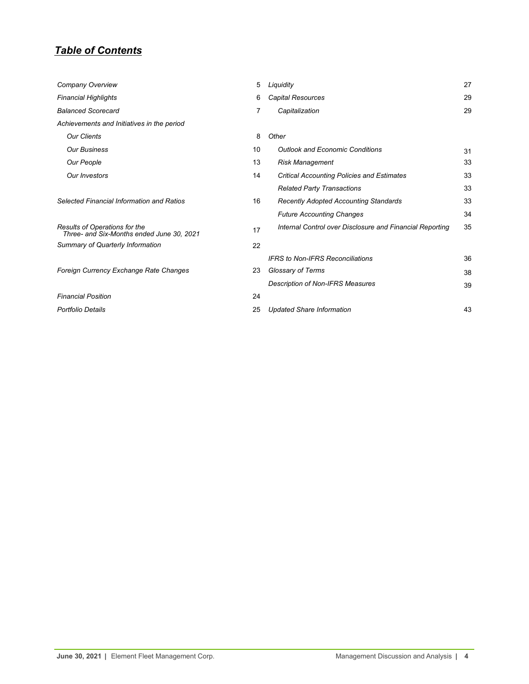## *Table of Contents*

| Company Overview                                                           | 5  | Liquidity                                                | 27 |
|----------------------------------------------------------------------------|----|----------------------------------------------------------|----|
| <b>Financial Highlights</b>                                                | 6  | <b>Capital Resources</b>                                 | 29 |
| <b>Balanced Scorecard</b>                                                  | 7  | Capitalization                                           | 29 |
| Achievements and Initiatives in the period                                 |    |                                                          |    |
| <b>Our Clients</b>                                                         | 8  | Other                                                    |    |
| <b>Our Business</b>                                                        | 10 | <b>Outlook and Economic Conditions</b>                   | 31 |
| Our People                                                                 | 13 | <b>Risk Management</b>                                   | 33 |
| <b>Our Investors</b>                                                       | 14 | <b>Critical Accounting Policies and Estimates</b>        | 33 |
|                                                                            |    | <b>Related Party Transactions</b>                        | 33 |
| Selected Financial Information and Ratios                                  | 16 | <b>Recently Adopted Accounting Standards</b>             | 33 |
|                                                                            |    | <b>Future Accounting Changes</b>                         | 34 |
| Results of Operations for the<br>Three- and Six-Months ended June 30, 2021 | 17 | Internal Control over Disclosure and Financial Reporting | 35 |
| Summary of Quarterly Information                                           | 22 |                                                          |    |
|                                                                            |    | <b>IFRS</b> to Non-IFRS Reconciliations                  | 36 |
| Foreign Currency Exchange Rate Changes                                     | 23 | Glossary of Terms                                        | 38 |
|                                                                            |    | <b>Description of Non-IFRS Measures</b>                  | 39 |
| <b>Financial Position</b>                                                  | 24 |                                                          |    |
| <b>Portfolio Details</b>                                                   | 25 | <b>Updated Share Information</b>                         | 43 |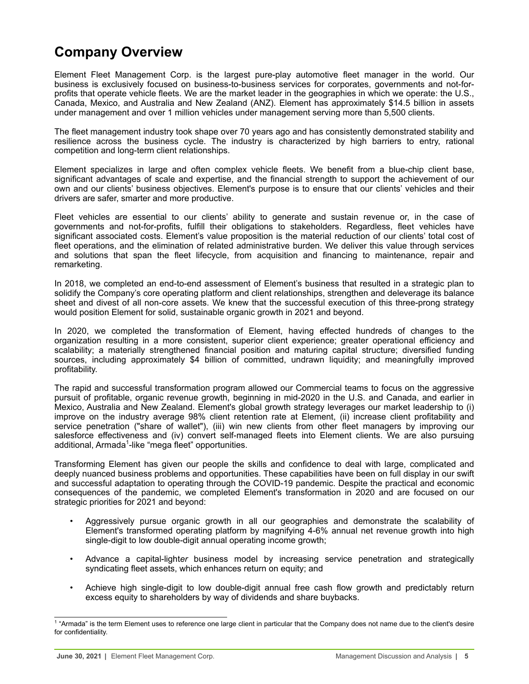## <span id="page-4-0"></span>**Company Overview**

Element Fleet Management Corp. is the largest pure-play automotive fleet manager in the world. Our business is exclusively focused on business-to-business services for corporates, governments and not-forprofits that operate vehicle fleets. We are the market leader in the geographies in which we operate: the U.S., Canada, Mexico, and Australia and New Zealand (ANZ). Element has approximately \$14.5 billion in assets under management and over 1 million vehicles under management serving more than 5,500 clients.

The fleet management industry took shape over 70 years ago and has consistently demonstrated stability and resilience across the business cycle. The industry is characterized by high barriers to entry, rational competition and long-term client relationships.

Element specializes in large and often complex vehicle fleets. We benefit from a blue-chip client base, significant advantages of scale and expertise, and the financial strength to support the achievement of our own and our clients' business objectives. Element's purpose is to ensure that our clients' vehicles and their drivers are safer, smarter and more productive.

Fleet vehicles are essential to our clients' ability to generate and sustain revenue or, in the case of governments and not-for-profits, fulfill their obligations to stakeholders. Regardless, fleet vehicles have significant associated costs. Element's value proposition is the material reduction of our clients' total cost of fleet operations, and the elimination of related administrative burden. We deliver this value through services and solutions that span the fleet lifecycle, from acquisition and financing to maintenance, repair and remarketing.

In 2018, we completed an end-to-end assessment of Element's business that resulted in a strategic plan to solidify the Company's core operating platform and client relationships, strengthen and deleverage its balance sheet and divest of all non-core assets. We knew that the successful execution of this three-prong strategy would position Element for solid, sustainable organic growth in 2021 and beyond.

In 2020, we completed the transformation of Element, having effected hundreds of changes to the organization resulting in a more consistent, superior client experience; greater operational efficiency and scalability; a materially strengthened financial position and maturing capital structure; diversified funding sources, including approximately \$4 billion of committed, undrawn liquidity; and meaningfully improved profitability.

The rapid and successful transformation program allowed our Commercial teams to focus on the aggressive pursuit of profitable, organic revenue growth, beginning in mid-2020 in the U.S. and Canada, and earlier in Mexico, Australia and New Zealand. Element's global growth strategy leverages our market leadership to (i) improve on the industry average 98% client retention rate at Element, (ii) increase client profitability and service penetration ("share of wallet"), (iii) win new clients from other fleet managers by improving our salesforce effectiveness and (iv) convert self-managed fleets into Element clients. We are also pursuing additional, Armada<sup>1</sup>-like "mega fleet" opportunities.

Transforming Element has given our people the skills and confidence to deal with large, complicated and deeply nuanced business problems and opportunities. These capabilities have been on full display in our swift and successful adaptation to operating through the COVID-19 pandemic. Despite the practical and economic consequences of the pandemic, we completed Element's transformation in 2020 and are focused on our strategic priorities for 2021 and beyond:

- Aggressively pursue organic growth in all our geographies and demonstrate the scalability of Element's transformed operating platform by magnifying 4-6% annual net revenue growth into high single-digit to low double-digit annual operating income growth;
- Advance a capital-light*er* business model by increasing service penetration and strategically syndicating fleet assets, which enhances return on equity; and
- Achieve high single-digit to low double-digit annual free cash flow growth and predictably return excess equity to shareholders by way of dividends and share buybacks.

<sup>&</sup>lt;sup>1</sup> "Armada" is the term Element uses to reference one large client in particular that the Company does not name due to the client's desire for confidentiality.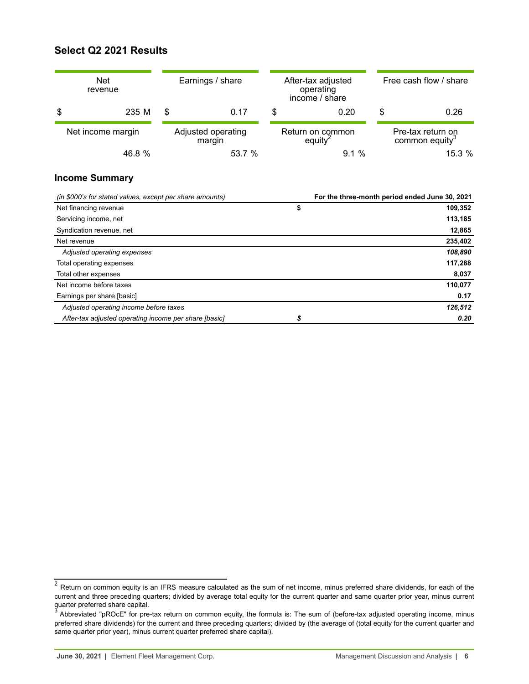## <span id="page-5-0"></span>**Select Q2 2021 Results**

| <b>Net</b><br>revenue                                    | Earnings / share             |    | After-tax adjusted<br>operating<br>income / share |    | Free cash flow / share                          |
|----------------------------------------------------------|------------------------------|----|---------------------------------------------------|----|-------------------------------------------------|
| \$<br>235 M                                              | \$<br>0.17                   | \$ | 0.20                                              | \$ | 0.26                                            |
| Net income margin                                        | Adjusted operating<br>margin |    | Return on common<br>equity <sup>2</sup>           |    | Pre-tax return on<br>common equity <sup>3</sup> |
| 46.8 %                                                   | 53.7 %                       |    | 9.1%                                              |    | 15.3 %                                          |
| <b>Income Summary</b>                                    |                              |    |                                                   |    |                                                 |
| (in \$000's for stated values, except per share amounts) |                              |    |                                                   |    | For the three-month period ended June 30, 2021  |
| Net financing revenue                                    |                              | \$ |                                                   |    | 109,352                                         |
| Servicing income, net                                    |                              |    |                                                   |    | 113,185                                         |
| Syndication revenue, net                                 |                              |    |                                                   |    | 12,865                                          |
| Net revenue                                              |                              |    |                                                   |    | 235,402                                         |
| Adjusted operating expenses                              |                              |    |                                                   |    | 108,890                                         |
| Total operating expenses                                 |                              |    |                                                   |    | 117,288                                         |
| Total other expenses                                     |                              |    |                                                   |    | 8,037                                           |
| Net income before taxes                                  |                              |    |                                                   |    | 110,077                                         |
| Earnings per share [basic]                               |                              |    |                                                   |    | 0.17                                            |
| Adjusted operating income before taxes                   |                              |    |                                                   |    | 126,512                                         |
| After-tax adjusted operating income per share [basic]    |                              | \$ |                                                   |    | 0.20                                            |

 $^2$  Return on common equity is an IFRS measure calculated as the sum of net income, minus preferred share dividends, for each of the current and three preceding quarters; divided by average total equity for the current quarter and same quarter prior year, minus current quarter preferred share capital.<br><sup>3</sup> Abbreviated "pROcE" for pre-tax return on common equity, the formula is: The sum of (before-tax adjusted operating income, minus

preferred share dividends) for the current and three preceding quarters; divided by (the average of (total equity for the current quarter and same quarter prior year), minus current quarter preferred share capital).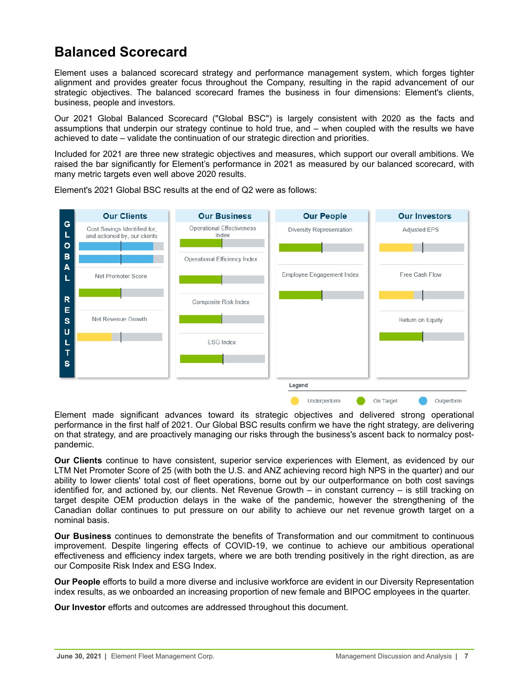## <span id="page-6-0"></span>**Balanced Scorecard**

Element uses a balanced scorecard strategy and performance management system, which forges tighter alignment and provides greater focus throughout the Company, resulting in the rapid advancement of our strategic objectives. The balanced scorecard frames the business in four dimensions: Element's clients, business, people and investors.

Our 2021 Global Balanced Scorecard ("Global BSC") is largely consistent with 2020 as the facts and assumptions that underpin our strategy continue to hold true, and – when coupled with the results we have achieved to date – validate the continuation of our strategic direction and priorities.

Included for 2021 are three new strategic objectives and measures, which support our overall ambitions. We raised the bar significantly for Element's performance in 2021 as measured by our balanced scorecard, with many metric targets even well above 2020 results.



Element's 2021 Global BSC results at the end of Q2 were as follows:

Element made significant advances toward its strategic objectives and delivered strong operational performance in the first half of 2021. Our Global BSC results confirm we have the right strategy, are delivering on that strategy, and are proactively managing our risks through the business's ascent back to normalcy postpandemic.

**Our Clients** continue to have consistent, superior service experiences with Element, as evidenced by our LTM Net Promoter Score of 25 (with both the U.S. and ANZ achieving record high NPS in the quarter) and our ability to lower clients' total cost of fleet operations, borne out by our outperformance on both cost savings identified for, and actioned by, our clients. Net Revenue Growth – in constant currency – is still tracking on target despite OEM production delays in the wake of the pandemic, however the strengthening of the Canadian dollar continues to put pressure on our ability to achieve our net revenue growth target on a nominal basis.

**Our Business** continues to demonstrate the benefits of Transformation and our commitment to continuous improvement. Despite lingering effects of COVID-19, we continue to achieve our ambitious operational effectiveness and efficiency index targets, where we are both trending positively in the right direction, as are our Composite Risk Index and ESG Index.

**Our People** efforts to build a more diverse and inclusive workforce are evident in our Diversity Representation index results, as we onboarded an increasing proportion of new female and BIPOC employees in the quarter.

**Our Investor** efforts and outcomes are addressed throughout this document.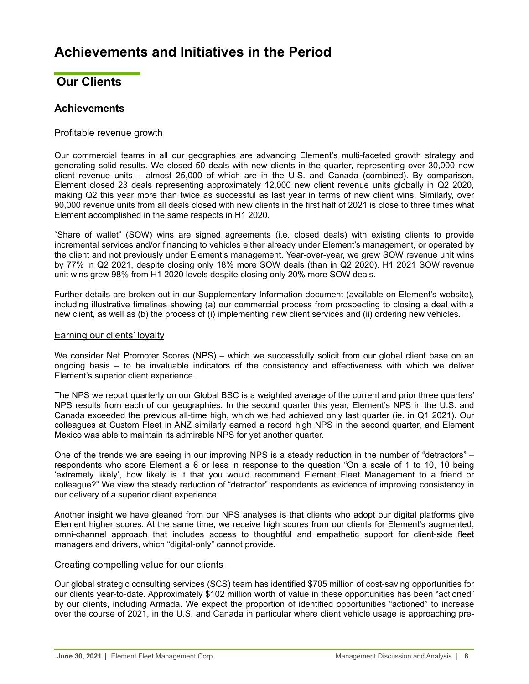## <span id="page-7-0"></span>**Achievements and Initiatives in the Period**

## **Our Clients**

## **Achievements**

## Profitable revenue growth

Our commercial teams in all our geographies are advancing Element's multi-faceted growth strategy and generating solid results. We closed 50 deals with new clients in the quarter, representing over 30,000 new client revenue units – almost 25,000 of which are in the U.S. and Canada (combined). By comparison, Element closed 23 deals representing approximately 12,000 new client revenue units globally in Q2 2020, making Q2 this year more than twice as successful as last year in terms of new client wins. Similarly, over 90,000 revenue units from all deals closed with new clients in the first half of 2021 is close to three times what Element accomplished in the same respects in H1 2020.

"Share of wallet" (SOW) wins are signed agreements (i.e. closed deals) with existing clients to provide incremental services and/or financing to vehicles either already under Element's management, or operated by the client and not previously under Element's management. Year-over-year, we grew SOW revenue unit wins by 77% in Q2 2021, despite closing only 18% more SOW deals (than in Q2 2020). H1 2021 SOW revenue unit wins grew 98% from H1 2020 levels despite closing only 20% more SOW deals.

Further details are broken out in our Supplementary Information document (available on Element's website), including illustrative timelines showing (a) our commercial process from prospecting to closing a deal with a new client, as well as (b) the process of (i) implementing new client services and (ii) ordering new vehicles.

## Earning our clients' loyalty

We consider Net Promoter Scores (NPS) – which we successfully solicit from our global client base on an ongoing basis – to be invaluable indicators of the consistency and effectiveness with which we deliver Element's superior client experience.

The NPS we report quarterly on our Global BSC is a weighted average of the current and prior three quarters' NPS results from each of our geographies. In the second quarter this year, Element's NPS in the U.S. and Canada exceeded the previous all-time high, which we had achieved only last quarter (ie. in Q1 2021). Our colleagues at Custom Fleet in ANZ similarly earned a record high NPS in the second quarter, and Element Mexico was able to maintain its admirable NPS for yet another quarter.

One of the trends we are seeing in our improving NPS is a steady reduction in the number of "detractors" – respondents who score Element a 6 or less in response to the question "On a scale of 1 to 10, 10 being 'extremely likely', how likely is it that you would recommend Element Fleet Management to a friend or colleague?" We view the steady reduction of "detractor" respondents as evidence of improving consistency in our delivery of a superior client experience.

Another insight we have gleaned from our NPS analyses is that clients who adopt our digital platforms give Element higher scores. At the same time, we receive high scores from our clients for Element's augmented, omni-channel approach that includes access to thoughtful and empathetic support for client-side fleet managers and drivers, which "digital-only" cannot provide.

## Creating compelling value for our clients

Our global strategic consulting services (SCS) team has identified \$705 million of cost-saving opportunities for our clients year-to-date. Approximately \$102 million worth of value in these opportunities has been "actioned" by our clients, including Armada. We expect the proportion of identified opportunities "actioned" to increase over the course of 2021, in the U.S. and Canada in particular where client vehicle usage is approaching pre-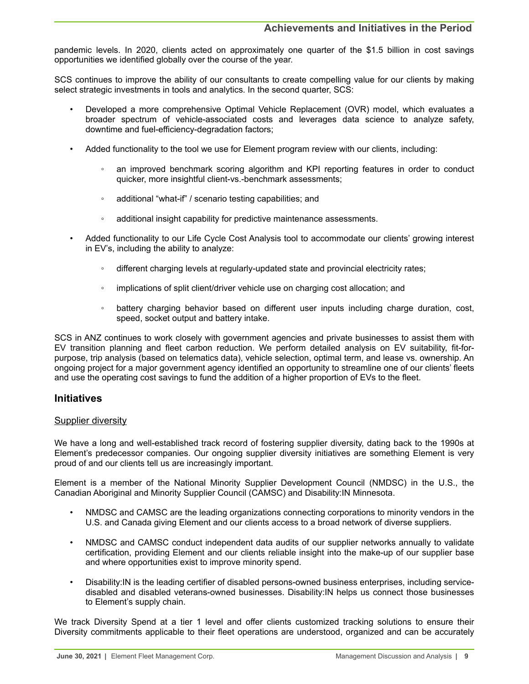pandemic levels. In 2020, clients acted on approximately one quarter of the \$1.5 billion in cost savings opportunities we identified globally over the course of the year.

SCS continues to improve the ability of our consultants to create compelling value for our clients by making select strategic investments in tools and analytics. In the second quarter, SCS:

- Developed a more comprehensive Optimal Vehicle Replacement (OVR) model, which evaluates a broader spectrum of vehicle-associated costs and leverages data science to analyze safety, downtime and fuel-efficiency-degradation factors;
- Added functionality to the tool we use for Element program review with our clients, including:
	- an improved benchmark scoring algorithm and KPI reporting features in order to conduct quicker, more insightful client-vs.-benchmark assessments;
	- additional "what-if" / scenario testing capabilities; and
	- additional insight capability for predictive maintenance assessments.
- Added functionality to our Life Cycle Cost Analysis tool to accommodate our clients' growing interest in EV's, including the ability to analyze:
	- different charging levels at regularly-updated state and provincial electricity rates;
	- implications of split client/driver vehicle use on charging cost allocation; and
	- battery charging behavior based on different user inputs including charge duration, cost, speed, socket output and battery intake.

SCS in ANZ continues to work closely with government agencies and private businesses to assist them with EV transition planning and fleet carbon reduction. We perform detailed analysis on EV suitability, fit-forpurpose, trip analysis (based on telematics data), vehicle selection, optimal term, and lease vs. ownership. An ongoing project for a major government agency identified an opportunity to streamline one of our clients' fleets and use the operating cost savings to fund the addition of a higher proportion of EVs to the fleet.

## **Initiatives**

## Supplier diversity

We have a long and well-established track record of fostering supplier diversity, dating back to the 1990s at Element's predecessor companies. Our ongoing supplier diversity initiatives are something Element is very proud of and our clients tell us are increasingly important.

Element is a member of the National Minority Supplier Development Council (NMDSC) in the U.S., the Canadian Aboriginal and Minority Supplier Council (CAMSC) and Disability:IN Minnesota.

- NMDSC and CAMSC are the leading organizations connecting corporations to minority vendors in the U.S. and Canada giving Element and our clients access to a broad network of diverse suppliers.
- NMDSC and CAMSC conduct independent data audits of our supplier networks annually to validate certification, providing Element and our clients reliable insight into the make-up of our supplier base and where opportunities exist to improve minority spend.
- Disability:IN is the leading certifier of disabled persons-owned business enterprises, including servicedisabled and disabled veterans-owned businesses. Disability:IN helps us connect those businesses to Element's supply chain.

We track Diversity Spend at a tier 1 level and offer clients customized tracking solutions to ensure their Diversity commitments applicable to their fleet operations are understood, organized and can be accurately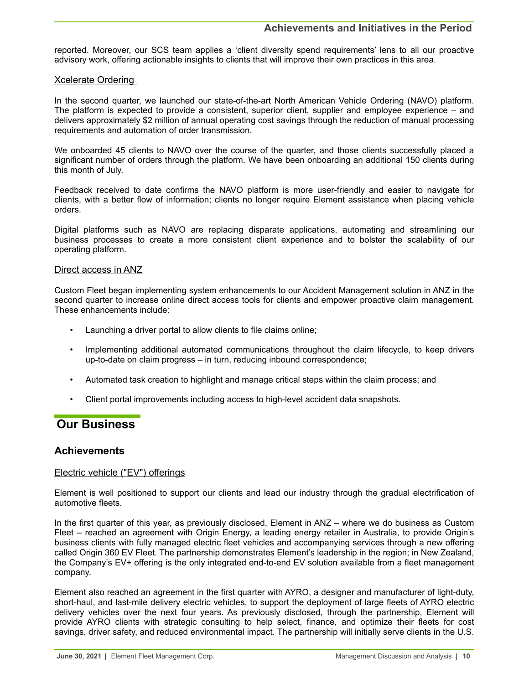## **Achievements and Initiatives in the Period**

<span id="page-9-0"></span>reported. Moreover, our SCS team applies a 'client diversity spend requirements' lens to all our proactive advisory work, offering actionable insights to clients that will improve their own practices in this area.

### Xcelerate Ordering

In the second quarter, we launched our state-of-the-art North American Vehicle Ordering (NAVO) platform. The platform is expected to provide a consistent, superior client, supplier and employee experience – and delivers approximately \$2 million of annual operating cost savings through the reduction of manual processing requirements and automation of order transmission.

We onboarded 45 clients to NAVO over the course of the quarter, and those clients successfully placed a significant number of orders through the platform. We have been onboarding an additional 150 clients during this month of July.

Feedback received to date confirms the NAVO platform is more user-friendly and easier to navigate for clients, with a better flow of information; clients no longer require Element assistance when placing vehicle orders.

Digital platforms such as NAVO are replacing disparate applications, automating and streamlining our business processes to create a more consistent client experience and to bolster the scalability of our operating platform.

## Direct access in ANZ

Custom Fleet began implementing system enhancements to our Accident Management solution in ANZ in the second quarter to increase online direct access tools for clients and empower proactive claim management. These enhancements include:

- Launching a driver portal to allow clients to file claims online;
- Implementing additional automated communications throughout the claim lifecycle, to keep drivers up-to-date on claim progress – in turn, reducing inbound correspondence;
- Automated task creation to highlight and manage critical steps within the claim process; and
- Client portal improvements including access to high-level accident data snapshots.

## **Our Business**

## **Achievements**

## Electric vehicle ("EV") offerings

Element is well positioned to support our clients and lead our industry through the gradual electrification of automotive fleets.

In the first quarter of this year, as previously disclosed, Element in ANZ – where we do business as Custom Fleet – reached an agreement with Origin Energy, a leading energy retailer in Australia, to provide Origin's business clients with fully managed electric fleet vehicles and accompanying services through a new offering called Origin 360 EV Fleet. The partnership demonstrates Element's leadership in the region; in New Zealand, the Company's EV+ offering is the only integrated end-to-end EV solution available from a fleet management company.

Element also reached an agreement in the first quarter with AYRO, a designer and manufacturer of light-duty, short-haul, and last-mile delivery electric vehicles, to support the deployment of large fleets of AYRO electric delivery vehicles over the next four years. As previously disclosed, through the partnership, Element will provide AYRO clients with strategic consulting to help select, finance, and optimize their fleets for cost savings, driver safety, and reduced environmental impact. The partnership will initially serve clients in the U.S.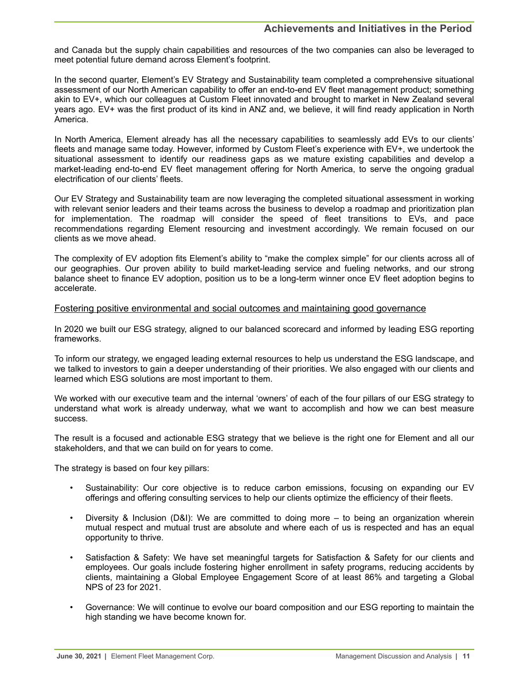and Canada but the supply chain capabilities and resources of the two companies can also be leveraged to meet potential future demand across Element's footprint.

In the second quarter, Element's EV Strategy and Sustainability team completed a comprehensive situational assessment of our North American capability to offer an end-to-end EV fleet management product; something akin to EV+, which our colleagues at Custom Fleet innovated and brought to market in New Zealand several years ago. EV+ was the first product of its kind in ANZ and, we believe, it will find ready application in North America.

In North America, Element already has all the necessary capabilities to seamlessly add EVs to our clients' fleets and manage same today. However, informed by Custom Fleet's experience with EV+, we undertook the situational assessment to identify our readiness gaps as we mature existing capabilities and develop a market-leading end-to-end EV fleet management offering for North America, to serve the ongoing gradual electrification of our clients' fleets.

Our EV Strategy and Sustainability team are now leveraging the completed situational assessment in working with relevant senior leaders and their teams across the business to develop a roadmap and prioritization plan for implementation. The roadmap will consider the speed of fleet transitions to EVs, and pace recommendations regarding Element resourcing and investment accordingly. We remain focused on our clients as we move ahead.

The complexity of EV adoption fits Element's ability to "make the complex simple" for our clients across all of our geographies. Our proven ability to build market-leading service and fueling networks, and our strong balance sheet to finance EV adoption, position us to be a long-term winner once EV fleet adoption begins to accelerate.

## Fostering positive environmental and social outcomes and maintaining good governance

In 2020 we built our ESG strategy, aligned to our balanced scorecard and informed by leading ESG reporting frameworks.

To inform our strategy, we engaged leading external resources to help us understand the ESG landscape, and we talked to investors to gain a deeper understanding of their priorities. We also engaged with our clients and learned which ESG solutions are most important to them.

We worked with our executive team and the internal 'owners' of each of the four pillars of our ESG strategy to understand what work is already underway, what we want to accomplish and how we can best measure success.

The result is a focused and actionable ESG strategy that we believe is the right one for Element and all our stakeholders, and that we can build on for years to come.

The strategy is based on four key pillars:

- Sustainability: Our core objective is to reduce carbon emissions, focusing on expanding our EV offerings and offering consulting services to help our clients optimize the efficiency of their fleets.
- Diversity & Inclusion (D&I): We are committed to doing more to being an organization wherein mutual respect and mutual trust are absolute and where each of us is respected and has an equal opportunity to thrive.
- Satisfaction & Safety: We have set meaningful targets for Satisfaction & Safety for our clients and employees. Our goals include fostering higher enrollment in safety programs, reducing accidents by clients, maintaining a Global Employee Engagement Score of at least 86% and targeting a Global NPS of 23 for 2021.
- Governance: We will continue to evolve our board composition and our ESG reporting to maintain the high standing we have become known for.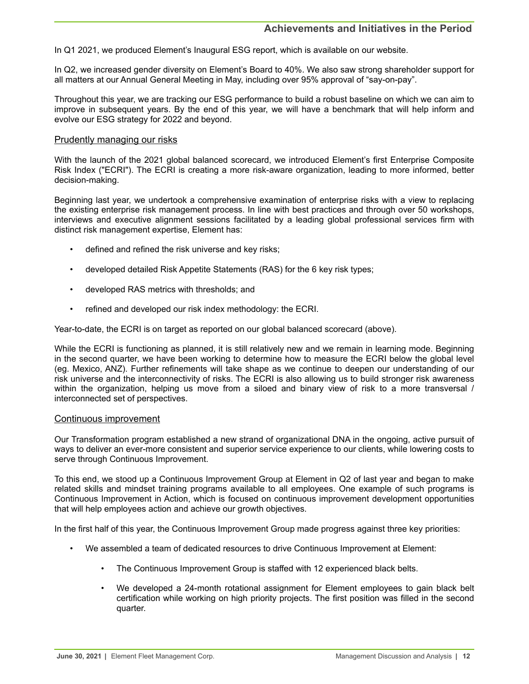## **Achievements and Initiatives in the Period**

In Q1 2021, we produced Element's Inaugural ESG report, which is available on our website.

In Q2, we increased gender diversity on Element's Board to 40%. We also saw strong shareholder support for all matters at our Annual General Meeting in May, including over 95% approval of "say-on-pay".

Throughout this year, we are tracking our ESG performance to build a robust baseline on which we can aim to improve in subsequent years. By the end of this year, we will have a benchmark that will help inform and evolve our ESG strategy for 2022 and beyond.

### Prudently managing our risks

With the launch of the 2021 global balanced scorecard, we introduced Element's first Enterprise Composite Risk Index ("ECRI"). The ECRI is creating a more risk-aware organization, leading to more informed, better decision-making.

Beginning last year, we undertook a comprehensive examination of enterprise risks with a view to replacing the existing enterprise risk management process. In line with best practices and through over 50 workshops, interviews and executive alignment sessions facilitated by a leading global professional services firm with distinct risk management expertise, Element has:

- defined and refined the risk universe and key risks;
- developed detailed Risk Appetite Statements (RAS) for the 6 key risk types;
- developed RAS metrics with thresholds; and
- refined and developed our risk index methodology: the ECRI.

Year-to-date, the ECRI is on target as reported on our global balanced scorecard (above).

While the ECRI is functioning as planned, it is still relatively new and we remain in learning mode. Beginning in the second quarter, we have been working to determine how to measure the ECRI below the global level (eg. Mexico, ANZ). Further refinements will take shape as we continue to deepen our understanding of our risk universe and the interconnectivity of risks. The ECRI is also allowing us to build stronger risk awareness within the organization, helping us move from a siloed and binary view of risk to a more transversal / interconnected set of perspectives.

### Continuous improvement

Our Transformation program established a new strand of organizational DNA in the ongoing, active pursuit of ways to deliver an ever-more consistent and superior service experience to our clients, while lowering costs to serve through Continuous Improvement.

To this end, we stood up a Continuous Improvement Group at Element in Q2 of last year and began to make related skills and mindset training programs available to all employees. One example of such programs is Continuous Improvement in Action, which is focused on continuous improvement development opportunities that will help employees action and achieve our growth objectives.

In the first half of this year, the Continuous Improvement Group made progress against three key priorities:

- We assembled a team of dedicated resources to drive Continuous Improvement at Element:
	- The Continuous Improvement Group is staffed with 12 experienced black belts.
	- We developed a 24-month rotational assignment for Element employees to gain black belt certification while working on high priority projects. The first position was filled in the second quarter.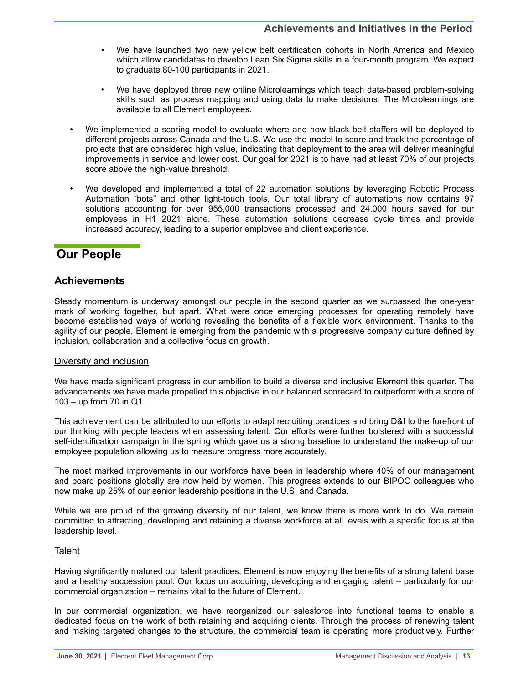- <span id="page-12-0"></span>• We have launched two new yellow belt certification cohorts in North America and Mexico which allow candidates to develop Lean Six Sigma skills in a four-month program. We expect to graduate 80-100 participants in 2021.
- We have deployed three new online Microlearnings which teach data-based problem-solving skills such as process mapping and using data to make decisions. The Microlearnings are available to all Element employees.
- We implemented a scoring model to evaluate where and how black belt staffers will be deployed to different projects across Canada and the U.S. We use the model to score and track the percentage of projects that are considered high value, indicating that deployment to the area will deliver meaningful improvements in service and lower cost. Our goal for 2021 is to have had at least 70% of our projects score above the high-value threshold.
- We developed and implemented a total of 22 automation solutions by leveraging Robotic Process Automation "bots" and other light-touch tools. Our total library of automations now contains 97 solutions accounting for over 955,000 transactions processed and 24,000 hours saved for our employees in H1 2021 alone. These automation solutions decrease cycle times and provide increased accuracy, leading to a superior employee and client experience.

## **Our People**

## **Achievements**

Steady momentum is underway amongst our people in the second quarter as we surpassed the one-year mark of working together, but apart. What were once emerging processes for operating remotely have become established ways of working revealing the benefits of a flexible work environment. Thanks to the agility of our people, Element is emerging from the pandemic with a progressive company culture defined by inclusion, collaboration and a collective focus on growth.

## Diversity and inclusion

We have made significant progress in our ambition to build a diverse and inclusive Element this quarter. The advancements we have made propelled this objective in our balanced scorecard to outperform with a score of 103 – up from 70 in Q1.

This achievement can be attributed to our efforts to adapt recruiting practices and bring D&I to the forefront of our thinking with people leaders when assessing talent. Our efforts were further bolstered with a successful self-identification campaign in the spring which gave us a strong baseline to understand the make-up of our employee population allowing us to measure progress more accurately.

The most marked improvements in our workforce have been in leadership where 40% of our management and board positions globally are now held by women. This progress extends to our BIPOC colleagues who now make up 25% of our senior leadership positions in the U.S. and Canada.

While we are proud of the growing diversity of our talent, we know there is more work to do. We remain committed to attracting, developing and retaining a diverse workforce at all levels with a specific focus at the leadership level.

## **Talent**

Having significantly matured our talent practices, Element is now enjoying the benefits of a strong talent base and a healthy succession pool. Our focus on acquiring, developing and engaging talent – particularly for our commercial organization – remains vital to the future of Element.

In our commercial organization, we have reorganized our salesforce into functional teams to enable a dedicated focus on the work of both retaining and acquiring clients. Through the process of renewing talent and making targeted changes to the structure, the commercial team is operating more productively. Further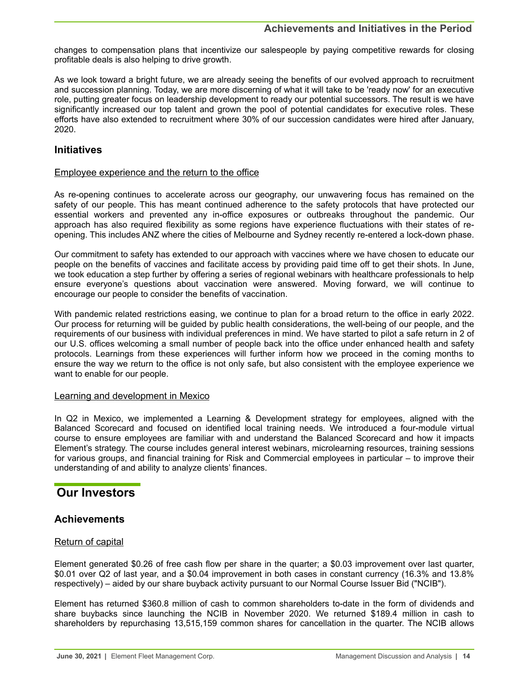<span id="page-13-0"></span>changes to compensation plans that incentivize our salespeople by paying competitive rewards for closing profitable deals is also helping to drive growth.

As we look toward a bright future, we are already seeing the benefits of our evolved approach to recruitment and succession planning. Today, we are more discerning of what it will take to be 'ready now' for an executive role, putting greater focus on leadership development to ready our potential successors. The result is we have significantly increased our top talent and grown the pool of potential candidates for executive roles. These efforts have also extended to recruitment where 30% of our succession candidates were hired after January, 2020.

## **Initiatives**

## Employee experience and the return to the office

As re-opening continues to accelerate across our geography, our unwavering focus has remained on the safety of our people. This has meant continued adherence to the safety protocols that have protected our essential workers and prevented any in-office exposures or outbreaks throughout the pandemic. Our approach has also required flexibility as some regions have experience fluctuations with their states of reopening. This includes ANZ where the cities of Melbourne and Sydney recently re-entered a lock-down phase.

Our commitment to safety has extended to our approach with vaccines where we have chosen to educate our people on the benefits of vaccines and facilitate access by providing paid time off to get their shots. In June, we took education a step further by offering a series of regional webinars with healthcare professionals to help ensure everyone's questions about vaccination were answered. Moving forward, we will continue to encourage our people to consider the benefits of vaccination.

With pandemic related restrictions easing, we continue to plan for a broad return to the office in early 2022. Our process for returning will be guided by public health considerations, the well-being of our people, and the requirements of our business with individual preferences in mind. We have started to pilot a safe return in 2 of our U.S. offices welcoming a small number of people back into the office under enhanced health and safety protocols. Learnings from these experiences will further inform how we proceed in the coming months to ensure the way we return to the office is not only safe, but also consistent with the employee experience we want to enable for our people.

## Learning and development in Mexico

In Q2 in Mexico, we implemented a Learning & Development strategy for employees, aligned with the Balanced Scorecard and focused on identified local training needs. We introduced a four-module virtual course to ensure employees are familiar with and understand the Balanced Scorecard and how it impacts Element's strategy. The course includes general interest webinars, microlearning resources, training sessions for various groups, and financial training for Risk and Commercial employees in particular – to improve their understanding of and ability to analyze clients' finances.

## **Our Investors**

## **Achievements**

## Return of capital

Element generated \$0.26 of free cash flow per share in the quarter; a \$0.03 improvement over last quarter, \$0.01 over Q2 of last year, and a \$0.04 improvement in both cases in constant currency (16.3% and 13.8% respectively) – aided by our share buyback activity pursuant to our Normal Course Issuer Bid ("NCIB").

Element has returned \$360.8 million of cash to common shareholders to-date in the form of dividends and share buybacks since launching the NCIB in November 2020. We returned \$189.4 million in cash to shareholders by repurchasing 13,515,159 common shares for cancellation in the quarter. The NCIB allows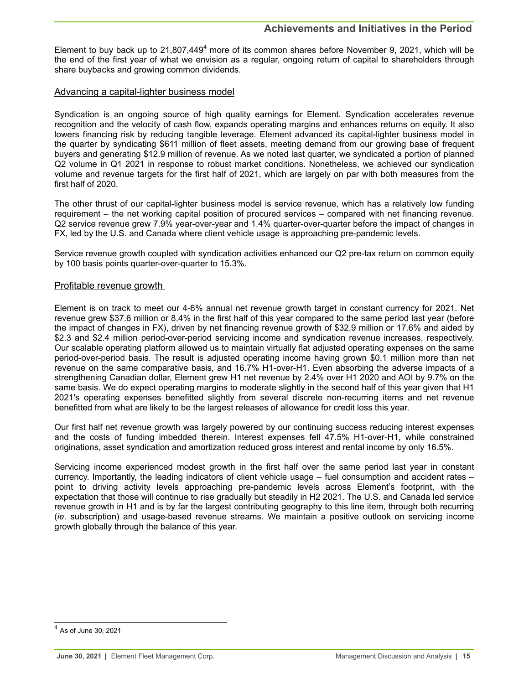Element to buy back up to  $21,807,449<sup>4</sup>$  more of its common shares before November 9, 2021, which will be the end of the first year of what we envision as a regular, ongoing return of capital to shareholders through share buybacks and growing common dividends.

## Advancing a capital-lighter business model

Syndication is an ongoing source of high quality earnings for Element. Syndication accelerates revenue recognition and the velocity of cash flow, expands operating margins and enhances returns on equity. It also lowers financing risk by reducing tangible leverage. Element advanced its capital-lighter business model in the quarter by syndicating \$611 million of fleet assets, meeting demand from our growing base of frequent buyers and generating \$12.9 million of revenue. As we noted last quarter, we syndicated a portion of planned Q2 volume in Q1 2021 in response to robust market conditions. Nonetheless, we achieved our syndication volume and revenue targets for the first half of 2021, which are largely on par with both measures from the first half of 2020.

The other thrust of our capital-lighter business model is service revenue, which has a relatively low funding requirement – the net working capital position of procured services – compared with net financing revenue. Q2 service revenue grew 7.9% year-over-year and 1.4% quarter-over-quarter before the impact of changes in FX, led by the U.S. and Canada where client vehicle usage is approaching pre-pandemic levels.

Service revenue growth coupled with syndication activities enhanced our Q2 pre-tax return on common equity by 100 basis points quarter-over-quarter to 15.3%.

## Profitable revenue growth

Element is on track to meet our 4-6% annual net revenue growth target in constant currency for 2021. Net revenue grew \$37.6 million or 8.4% in the first half of this year compared to the same period last year (before the impact of changes in FX), driven by net financing revenue growth of \$32.9 million or 17.6% and aided by \$2.3 and \$2.4 million period-over-period servicing income and syndication revenue increases, respectively. Our scalable operating platform allowed us to maintain virtually flat adjusted operating expenses on the same period-over-period basis. The result is adjusted operating income having grown \$0.1 million more than net revenue on the same comparative basis, and 16.7% H1-over-H1. Even absorbing the adverse impacts of a strengthening Canadian dollar, Element grew H1 net revenue by 2.4% over H1 2020 and AOI by 9.7% on the same basis. We do expect operating margins to moderate slightly in the second half of this year given that H1 2021's operating expenses benefitted slightly from several discrete non-recurring items and net revenue benefitted from what are likely to be the largest releases of allowance for credit loss this year.

Our first half net revenue growth was largely powered by our continuing success reducing interest expenses and the costs of funding imbedded therein. Interest expenses fell 47.5% H1-over-H1, while constrained originations, asset syndication and amortization reduced gross interest and rental income by only 16.5%.

Servicing income experienced modest growth in the first half over the same period last year in constant currency. Importantly, the leading indicators of client vehicle usage – fuel consumption and accident rates – point to driving activity levels approaching pre-pandemic levels across Element's footprint, with the expectation that those will continue to rise gradually but steadily in H2 2021. The U.S. and Canada led service revenue growth in H1 and is by far the largest contributing geography to this line item, through both recurring (*ie*. subscription) and usage-based revenue streams. We maintain a positive outlook on servicing income growth globally through the balance of this year.

 $^4$  As of June 30, 2021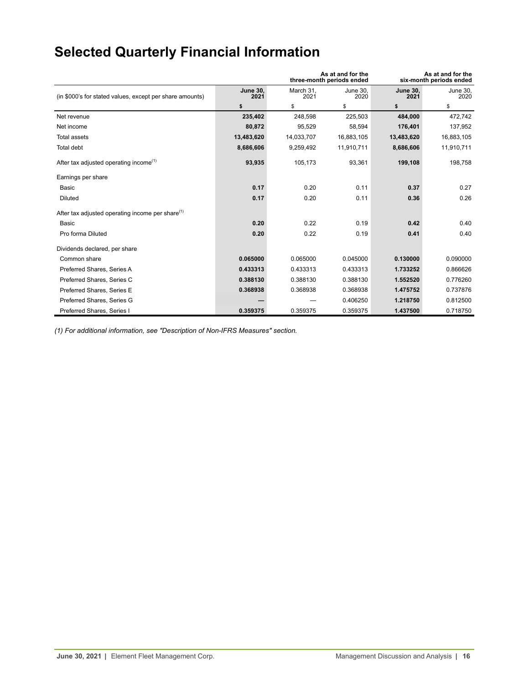# <span id="page-15-0"></span>**Selected Quarterly Financial Information**

|                                                              |                         | three-month periods ended | As at and for the<br>As at and for the<br>six-month periods ended |                         |                  |
|--------------------------------------------------------------|-------------------------|---------------------------|-------------------------------------------------------------------|-------------------------|------------------|
| (in \$000's for stated values, except per share amounts)     | <b>June 30,</b><br>2021 | March 31,<br>2021         | June 30,<br>2020                                                  | <b>June 30,</b><br>2021 | June 30,<br>2020 |
|                                                              | \$                      | \$                        | \$                                                                | \$                      | \$               |
| Net revenue                                                  | 235,402                 | 248,598                   | 225,503                                                           | 484,000                 | 472,742          |
| Net income                                                   | 80,872                  | 95,529                    | 58,594                                                            | 176.401                 | 137,952          |
| <b>Total assets</b>                                          | 13,483,620              | 14,033,707                | 16,883,105                                                        | 13,483,620              | 16,883,105       |
| Total debt                                                   | 8,686,606               | 9,259,492                 | 11,910,711                                                        | 8,686,606               | 11,910,711       |
| After tax adjusted operating income <sup>(1)</sup>           | 93,935                  | 105,173                   | 93,361                                                            | 199,108                 | 198,758          |
| Earnings per share                                           |                         |                           |                                                                   |                         |                  |
| Basic                                                        | 0.17                    | 0.20                      | 0.11                                                              | 0.37                    | 0.27             |
| <b>Diluted</b>                                               | 0.17                    | 0.20                      | 0.11                                                              | 0.36                    | 0.26             |
| After tax adjusted operating income per share <sup>(1)</sup> |                         |                           |                                                                   |                         |                  |
| Basic                                                        | 0.20                    | 0.22                      | 0.19                                                              | 0.42                    | 0.40             |
| Pro forma Diluted                                            | 0.20                    | 0.22                      | 0.19                                                              | 0.41                    | 0.40             |
| Dividends declared, per share                                |                         |                           |                                                                   |                         |                  |
| Common share                                                 | 0.065000                | 0.065000                  | 0.045000                                                          | 0.130000                | 0.090000         |
| Preferred Shares, Series A                                   | 0.433313                | 0.433313                  | 0.433313                                                          | 1.733252                | 0.866626         |
| Preferred Shares, Series C                                   | 0.388130                | 0.388130                  | 0.388130                                                          | 1.552520                | 0.776260         |
| Preferred Shares, Series E                                   | 0.368938                | 0.368938                  | 0.368938                                                          | 1.475752                | 0.737876         |
| Preferred Shares, Series G                                   |                         |                           | 0.406250                                                          | 1.218750                | 0.812500         |
| Preferred Shares, Series I                                   | 0.359375                | 0.359375                  | 0.359375                                                          | 1.437500                | 0.718750         |

*(1) For additional information, see "Description of Non-IFRS Measures" section.*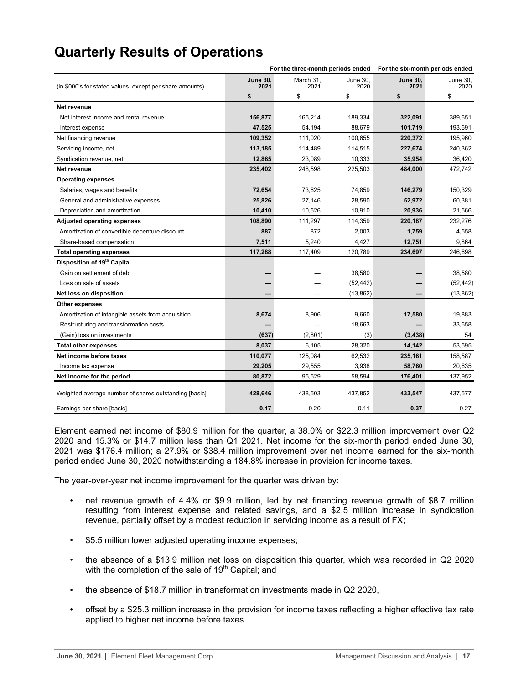## <span id="page-16-0"></span>**Quarterly Results of Operations**

|                                                          | For the three-month periods ended |                   |                  | For the six-month periods ended |                  |  |
|----------------------------------------------------------|-----------------------------------|-------------------|------------------|---------------------------------|------------------|--|
| (in \$000's for stated values, except per share amounts) | <b>June 30,</b><br>2021           | March 31,<br>2021 | June 30,<br>2020 | <b>June 30,</b><br>2021         | June 30,<br>2020 |  |
|                                                          | \$                                | \$                | \$               | \$                              | \$               |  |
| Net revenue                                              |                                   |                   |                  |                                 |                  |  |
| Net interest income and rental revenue                   | 156,877                           | 165,214           | 189,334          | 322,091                         | 389,651          |  |
| Interest expense                                         | 47,525                            | 54,194            | 88,679           | 101,719                         | 193,691          |  |
| Net financing revenue                                    | 109,352                           | 111,020           | 100,655          | 220,372                         | 195,960          |  |
| Servicing income, net                                    | 113,185                           | 114,489           | 114,515          | 227,674                         | 240,362          |  |
| Syndication revenue, net                                 | 12,865                            | 23,089            | 10,333           | 35,954                          | 36,420           |  |
| Net revenue                                              | 235,402                           | 248,598           | 225,503          | 484,000                         | 472,742          |  |
| <b>Operating expenses</b>                                |                                   |                   |                  |                                 |                  |  |
| Salaries, wages and benefits                             | 72,654                            | 73,625            | 74,859           | 146,279                         | 150,329          |  |
| General and administrative expenses                      | 25,826                            | 27,146            | 28,590           | 52,972                          | 60,381           |  |
| Depreciation and amortization                            | 10,410                            | 10,526            | 10,910           | 20,936                          | 21,566           |  |
| <b>Adjusted operating expenses</b>                       | 108,890                           | 111,297           | 114,359          | 220,187                         | 232,276          |  |
| Amortization of convertible debenture discount           | 887                               | 872               | 2,003            | 1,759                           | 4,558            |  |
| Share-based compensation                                 | 7,511                             | 5,240             | 4,427            | 12,751                          | 9,864            |  |
| <b>Total operating expenses</b>                          | 117,288                           | 117,409           | 120,789          | 234,697                         | 246,698          |  |
| Disposition of 19 <sup>th</sup> Capital                  |                                   |                   |                  |                                 |                  |  |
| Gain on settlement of debt                               |                                   |                   | 38,580           |                                 | 38,580           |  |
| Loss on sale of assets                                   |                                   |                   | (52, 442)        |                                 | (52, 442)        |  |
| Net loss on disposition                                  |                                   |                   | (13, 862)        |                                 | (13, 862)        |  |
| <b>Other expenses</b>                                    |                                   |                   |                  |                                 |                  |  |
| Amortization of intangible assets from acquisition       | 8,674                             | 8,906             | 9,660            | 17,580                          | 19,883           |  |
| Restructuring and transformation costs                   |                                   |                   | 18,663           |                                 | 33,658           |  |
| (Gain) loss on investments                               | (637)                             | (2,801)           | (3)              | (3, 438)                        | 54               |  |
| <b>Total other expenses</b>                              | 8,037                             | 6,105             | 28,320           | 14,142                          | 53,595           |  |
| Net income before taxes                                  | 110,077                           | 125,084           | 62,532           | 235,161                         | 158,587          |  |
| Income tax expense                                       | 29,205                            | 29,555            | 3,938            | 58,760                          | 20,635           |  |
| Net income for the period                                | 80,872                            | 95,529            | 58,594           | 176,401                         | 137,952          |  |
| Weighted average number of shares outstanding [basic]    | 428,646                           | 438,503           | 437,852          | 433,547                         | 437,577          |  |
| Earnings per share [basic]                               | 0.17                              | 0.20              | 0.11             | 0.37                            | 0.27             |  |

Element earned net income of \$80.9 million for the quarter, a 38.0% or \$22.3 million improvement over Q2 2020 and 15.3% or \$14.7 million less than Q1 2021. Net income for the six-month period ended June 30, 2021 was \$176.4 million; a 27.9% or \$38.4 million improvement over net income earned for the six-month period ended June 30, 2020 notwithstanding a 184.8% increase in provision for income taxes.

The year-over-year net income improvement for the quarter was driven by:

- net revenue growth of 4.4% or \$9.9 million, led by net financing revenue growth of \$8.7 million resulting from interest expense and related savings, and a \$2.5 million increase in syndication revenue, partially offset by a modest reduction in servicing income as a result of FX;
- \$5.5 million lower adjusted operating income expenses;
- the absence of a \$13.9 million net loss on disposition this quarter, which was recorded in Q2 2020 with the completion of the sale of 19<sup>th</sup> Capital; and
- the absence of \$18.7 million in transformation investments made in Q2 2020,
- offset by a \$25.3 million increase in the provision for income taxes reflecting a higher effective tax rate applied to higher net income before taxes.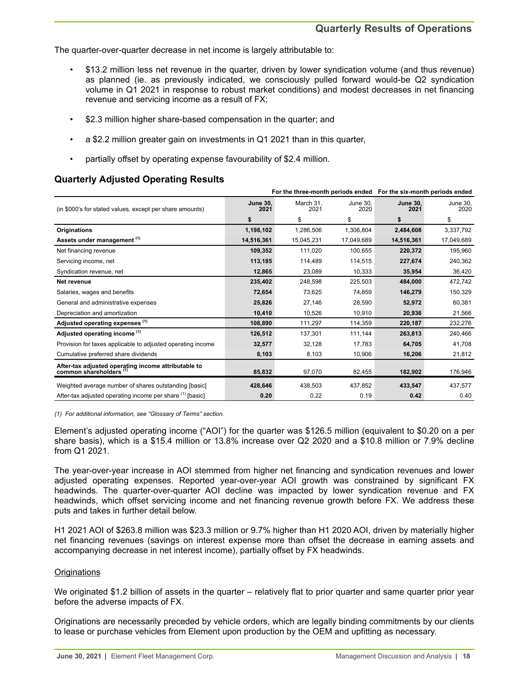The quarter-over-quarter decrease in net income is largely attributable to:

- \$13.2 million less net revenue in the quarter, driven by lower syndication volume (and thus revenue) as planned (ie. as previously indicated, we consciously pulled forward would-be Q2 syndication volume in Q1 2021 in response to robust market conditions) and modest decreases in net financing revenue and servicing income as a result of FX;
- \$2.3 million higher share-based compensation in the quarter; and
- a \$2.2 million greater gain on investments in Q1 2021 than in this quarter,
- partially offset by operating expense favourability of \$2.4 million.

## **Quarterly Adjusted Operating Results**

|                                                                                |                         | For the three-month periods ended For the six-month periods ended |                  |                         |                  |
|--------------------------------------------------------------------------------|-------------------------|-------------------------------------------------------------------|------------------|-------------------------|------------------|
| (in \$000's for stated values, except per share amounts)                       | <b>June 30.</b><br>2021 | March 31.<br>2021                                                 | June 30.<br>2020 | <b>June 30.</b><br>2021 | June 30.<br>2020 |
|                                                                                | \$                      | \$                                                                | \$               | \$                      | \$               |
| <b>Originations</b>                                                            | 1,198,102               | 1,286,506                                                         | 1,306,804        | 2,484,608               | 3,337,792        |
| Assets under management (1)                                                    | 14,516,361              | 15,045,231                                                        | 17,049,689       | 14,516,361              | 17,049,689       |
| Net financing revenue                                                          | 109,352                 | 111,020                                                           | 100,655          | 220,372                 | 195,960          |
| Servicing income, net                                                          | 113,185                 | 114,489                                                           | 114,515          | 227,674                 | 240,362          |
| Syndication revenue, net                                                       | 12,865                  | 23,089                                                            | 10,333           | 35,954                  | 36,420           |
| Net revenue                                                                    | 235,402                 | 248,598                                                           | 225,503          | 484,000                 | 472,742          |
| Salaries, wages and benefits                                                   | 72,654                  | 73,625                                                            | 74,859           | 146,279                 | 150,329          |
| General and administrative expenses                                            | 25,826                  | 27,146                                                            | 28,590           | 52,972                  | 60,381           |
| Depreciation and amortization                                                  | 10,410                  | 10,526                                                            | 10,910           | 20,936                  | 21,566           |
| Adjusted operating expenses (1)                                                | 108,890                 | 111,297                                                           | 114,359          | 220,187                 | 232,276          |
| Adjusted operating income (1)                                                  | 126,512                 | 137,301                                                           | 111,144          | 263,813                 | 240,466          |
| Provision for taxes applicable to adjusted operating income                    | 32,577                  | 32,128                                                            | 17,783           | 64,705                  | 41,708           |
| Cumulative preferred share dividends                                           | 8,103                   | 8,103                                                             | 10,906           | 16,206                  | 21,812           |
| After-tax adjusted operating income attributable to<br>common shareholders (1) | 85.832                  | 97.070                                                            | 82,455           | 182,902                 | 176,946          |
| Weighted average number of shares outstanding [basic]                          | 428,646                 | 438,503                                                           | 437,852          | 433,547                 | 437,577          |
| After-tax adjusted operating income per share (1) [basic]                      | 0.20                    | 0.22                                                              | 0.19             | 0.42                    | 0.40             |

*(1) For additional information, see "Glossary of Terms" section.*

Element's adjusted operating income ("AOI") for the quarter was \$126.5 million (equivalent to \$0.20 on a per share basis), which is a \$15.4 million or 13.8% increase over Q2 2020 and a \$10.8 million or 7.9% decline from Q1 2021.

The year-over-year increase in AOI stemmed from higher net financing and syndication revenues and lower adjusted operating expenses. Reported year-over-year AOI growth was constrained by significant FX headwinds. The quarter-over-quarter AOI decline was impacted by lower syndication revenue and FX headwinds, which offset servicing income and net financing revenue growth before FX. We address these puts and takes in further detail below.

H1 2021 AOI of \$263.8 million was \$23.3 million or 9.7% higher than H1 2020 AOI, driven by materially higher net financing revenues (savings on interest expense more than offset the decrease in earning assets and accompanying decrease in net interest income), partially offset by FX headwinds.

### **Originations**

We originated \$1.2 billion of assets in the quarter – relatively flat to prior quarter and same quarter prior year before the adverse impacts of FX.

Originations are necessarily preceded by vehicle orders, which are legally binding commitments by our clients to lease or purchase vehicles from Element upon production by the OEM and upfitting as necessary.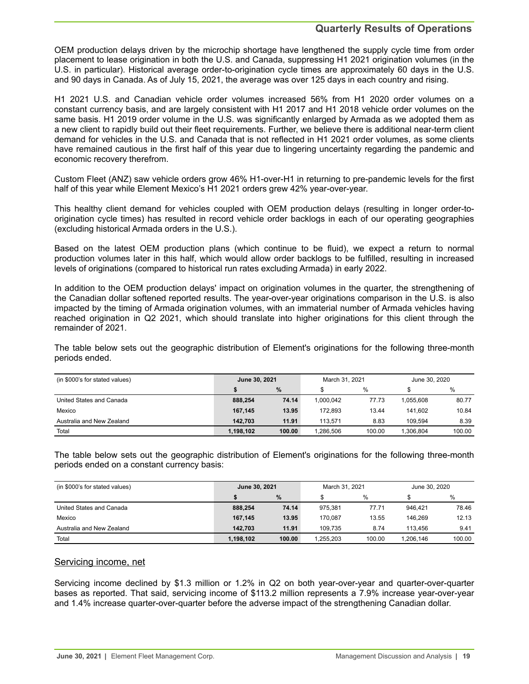## **Quarterly Results of Operations**

OEM production delays driven by the microchip shortage have lengthened the supply cycle time from order placement to lease origination in both the U.S. and Canada, suppressing H1 2021 origination volumes (in the U.S. in particular). Historical average order-to-origination cycle times are approximately 60 days in the U.S. and 90 days in Canada. As of July 15, 2021, the average was over 125 days in each country and rising.

H1 2021 U.S. and Canadian vehicle order volumes increased 56% from H1 2020 order volumes on a constant currency basis, and are largely consistent with H1 2017 and H1 2018 vehicle order volumes on the same basis. H1 2019 order volume in the U.S. was significantly enlarged by Armada as we adopted them as a new client to rapidly build out their fleet requirements. Further, we believe there is additional near-term client demand for vehicles in the U.S. and Canada that is not reflected in H1 2021 order volumes, as some clients have remained cautious in the first half of this year due to lingering uncertainty regarding the pandemic and economic recovery therefrom.

Custom Fleet (ANZ) saw vehicle orders grow 46% H1-over-H1 in returning to pre-pandemic levels for the first half of this year while Element Mexico's H1 2021 orders grew 42% year-over-year.

This healthy client demand for vehicles coupled with OEM production delays (resulting in longer order-toorigination cycle times) has resulted in record vehicle order backlogs in each of our operating geographies (excluding historical Armada orders in the U.S.).

Based on the latest OEM production plans (which continue to be fluid), we expect a return to normal production volumes later in this half, which would allow order backlogs to be fulfilled, resulting in increased levels of originations (compared to historical run rates excluding Armada) in early 2022.

In addition to the OEM production delays' impact on origination volumes in the quarter, the strengthening of the Canadian dollar softened reported results. The year-over-year originations comparison in the U.S. is also impacted by the timing of Armada origination volumes, with an immaterial number of Armada vehicles having reached origination in Q2 2021, which should translate into higher originations for this client through the remainder of 2021.

The table below sets out the geographic distribution of Element's originations for the following three-month periods ended.

| (in \$000's for stated values) | June 30, 2021 |               | March 31, 2021 |        | June 30, 2020 |        |
|--------------------------------|---------------|---------------|----------------|--------|---------------|--------|
|                                |               | $\frac{0}{0}$ |                | %      |               | $\%$   |
| United States and Canada       | 888,254       | 74.14         | 1.000.042      | 77.73  | 1.055.608     | 80.77  |
| Mexico                         | 167.145       | 13.95         | 172.893        | 13.44  | 141.602       | 10.84  |
| Australia and New Zealand      | 142.703       | 11.91         | 113.571        | 8.83   | 109.594       | 8.39   |
| Total                          | 1,198,102     | 100.00        | 1.286.506      | 100.00 | 1.306.804     | 100.00 |

The table below sets out the geographic distribution of Element's originations for the following three-month periods ended on a constant currency basis:

| (in \$000's for stated values) | June 30, 2021 |        | March 31, 2021 |        | June 30, 2020 |        |
|--------------------------------|---------------|--------|----------------|--------|---------------|--------|
|                                |               | %      |                | $\%$   |               | $\%$   |
| United States and Canada       | 888,254       | 74.14  | 975.381        | 77.71  | 946.421       | 78.46  |
| Mexico                         | 167,145       | 13.95  | 170.087        | 13.55  | 146.269       | 12.13  |
| Australia and New Zealand      | 142.703       | 11.91  | 109.735        | 8.74   | 113.456       | 9.41   |
| Total                          | 1.198.102     | 100.00 | 1.255.203      | 100.00 | 1.206.146     | 100.00 |

### Servicing income, net

Servicing income declined by \$1.3 million or 1.2% in Q2 on both year-over-year and quarter-over-quarter bases as reported. That said, servicing income of \$113.2 million represents a 7.9% increase year-over-year and 1.4% increase quarter-over-quarter before the adverse impact of the strengthening Canadian dollar.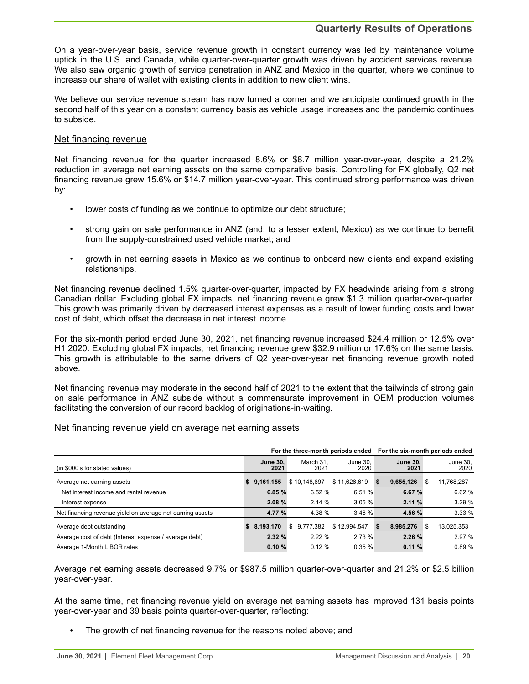## **Quarterly Results of Operations**

On a year-over-year basis, service revenue growth in constant currency was led by maintenance volume uptick in the U.S. and Canada, while quarter-over-quarter growth was driven by accident services revenue. We also saw organic growth of service penetration in ANZ and Mexico in the quarter, where we continue to increase our share of wallet with existing clients in addition to new client wins.

We believe our service revenue stream has now turned a corner and we anticipate continued growth in the second half of this year on a constant currency basis as vehicle usage increases and the pandemic continues to subside.

### Net financing revenue

Net financing revenue for the quarter increased 8.6% or \$8.7 million year-over-year, despite a 21.2% reduction in average net earning assets on the same comparative basis. Controlling for FX globally, Q2 net financing revenue grew 15.6% or \$14.7 million year-over-year. This continued strong performance was driven by:

- lower costs of funding as we continue to optimize our debt structure;
- strong gain on sale performance in ANZ (and, to a lesser extent, Mexico) as we continue to benefit from the supply-constrained used vehicle market; and
- growth in net earning assets in Mexico as we continue to onboard new clients and expand existing relationships.

Net financing revenue declined 1.5% quarter-over-quarter, impacted by FX headwinds arising from a strong Canadian dollar. Excluding global FX impacts, net financing revenue grew \$1.3 million quarter-over-quarter. This growth was primarily driven by decreased interest expenses as a result of lower funding costs and lower cost of debt, which offset the decrease in net interest income.

For the six-month period ended June 30, 2021, net financing revenue increased \$24.4 million or 12.5% over H1 2020. Excluding global FX impacts, net financing revenue grew \$32.9 million or 17.6% on the same basis. This growth is attributable to the same drivers of Q2 year-over-year net financing revenue growth noted above.

Net financing revenue may moderate in the second half of 2021 to the extent that the tailwinds of strong gain on sale performance in ANZ subside without a commensurate improvement in OEM production volumes facilitating the conversion of our record backlog of originations-in-waiting.

### Net financing revenue yield on average net earning assets

|                                                           |                         |                   |                  | For the three-month periods ended For the six-month periods ended |                   |
|-----------------------------------------------------------|-------------------------|-------------------|------------------|-------------------------------------------------------------------|-------------------|
| (in \$000's for stated values)                            | <b>June 30.</b><br>2021 | March 31.<br>2021 | June 30.<br>2020 | <b>June 30.</b><br>2021                                           | June 30,<br>2020  |
| Average net earning assets                                | 9,161,155<br>s.         | \$10.148.697      | \$11,626,619     | 9,655,126<br>s.                                                   | 11,768,287<br>\$  |
| Net interest income and rental revenue                    | 6.85%                   | 6.52 %            | 6.51 %           | 6.67 %                                                            | 6.62%             |
| Interest expense                                          | 2.08%                   | 2.14%             | 3.05%            | 2.11%                                                             | 3.29%             |
| Net financing revenue yield on average net earning assets | 4.77 %                  | 4.38 %            | 3.46%            | 4.56 %                                                            | 3.33%             |
| Average debt outstanding                                  | \$8,193,170             | \$9.777.382       | \$12,994,547     | 8,985,276<br>-S                                                   | 13,025,353<br>\$. |
| Average cost of debt (Interest expense / average debt)    | 2.32%                   | 2.22%             | 2.73%            | 2.26%                                                             | 2.97%             |
| Average 1-Month LIBOR rates                               | 0.10%                   | 0.12%             | 0.35%            | 0.11%                                                             | 0.89%             |

Average net earning assets decreased 9.7% or \$987.5 million quarter-over-quarter and 21.2% or \$2.5 billion year-over-year.

At the same time, net financing revenue yield on average net earning assets has improved 131 basis points year-over-year and 39 basis points quarter-over-quarter, reflecting:

The growth of net financing revenue for the reasons noted above; and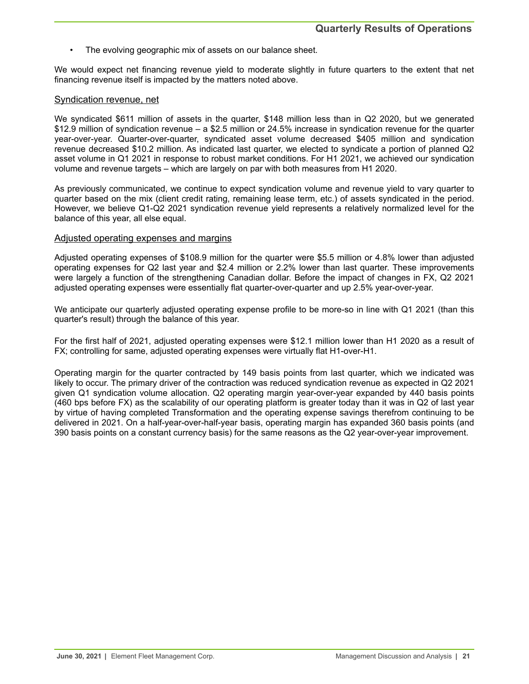The evolving geographic mix of assets on our balance sheet.

We would expect net financing revenue yield to moderate slightly in future quarters to the extent that net financing revenue itself is impacted by the matters noted above.

#### Syndication revenue, net

We syndicated \$611 million of assets in the quarter, \$148 million less than in Q2 2020, but we generated \$12.9 million of syndication revenue – a \$2.5 million or 24.5% increase in syndication revenue for the quarter year-over-year. Quarter-over-quarter, syndicated asset volume decreased \$405 million and syndication revenue decreased \$10.2 million. As indicated last quarter, we elected to syndicate a portion of planned Q2 asset volume in Q1 2021 in response to robust market conditions. For H1 2021, we achieved our syndication volume and revenue targets – which are largely on par with both measures from H1 2020.

As previously communicated, we continue to expect syndication volume and revenue yield to vary quarter to quarter based on the mix (client credit rating, remaining lease term, etc.) of assets syndicated in the period. However, we believe Q1-Q2 2021 syndication revenue yield represents a relatively normalized level for the balance of this year, all else equal.

### Adjusted operating expenses and margins

Adjusted operating expenses of \$108.9 million for the quarter were \$5.5 million or 4.8% lower than adjusted operating expenses for Q2 last year and \$2.4 million or 2.2% lower than last quarter. These improvements were largely a function of the strengthening Canadian dollar. Before the impact of changes in FX, Q2 2021 adjusted operating expenses were essentially flat quarter-over-quarter and up 2.5% year-over-year.

We anticipate our quarterly adjusted operating expense profile to be more-so in line with Q1 2021 (than this quarter's result) through the balance of this year.

For the first half of 2021, adjusted operating expenses were \$12.1 million lower than H1 2020 as a result of FX; controlling for same, adjusted operating expenses were virtually flat H1-over-H1.

Operating margin for the quarter contracted by 149 basis points from last quarter, which we indicated was likely to occur. The primary driver of the contraction was reduced syndication revenue as expected in Q2 2021 given Q1 syndication volume allocation. Q2 operating margin year-over-year expanded by 440 basis points (460 bps before FX) as the scalability of our operating platform is greater today than it was in Q2 of last year by virtue of having completed Transformation and the operating expense savings therefrom continuing to be delivered in 2021. On a half-year-over-half-year basis, operating margin has expanded 360 basis points (and 390 basis points on a constant currency basis) for the same reasons as the Q2 year-over-year improvement.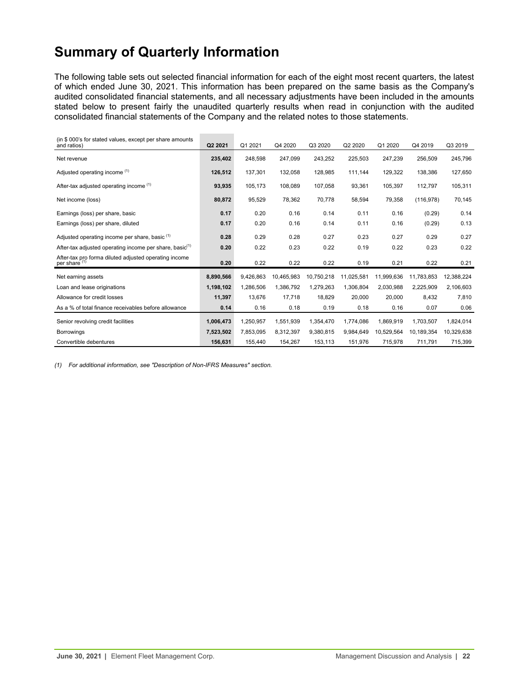## <span id="page-21-0"></span>**Summary of Quarterly Information**

The following table sets out selected financial information for each of the eight most recent quarters, the latest of which ended June 30, 2021. This information has been prepared on the same basis as the Company's audited consolidated financial statements, and all necessary adjustments have been included in the amounts stated below to present fairly the unaudited quarterly results when read in conjunction with the audited consolidated financial statements of the Company and the related notes to those statements.

| (in \$000's for stated values, except per share amounts<br>and ratios)            | Q2 2021   | Q1 2021   | Q4 2020    | Q3 2020    | Q2 2020    | Q1 2020    | Q4 2019    | Q3 2019    |
|-----------------------------------------------------------------------------------|-----------|-----------|------------|------------|------------|------------|------------|------------|
| Net revenue                                                                       | 235,402   | 248,598   | 247,099    | 243,252    | 225,503    | 247,239    | 256,509    | 245,796    |
| Adjusted operating income (1)                                                     | 126,512   | 137,301   | 132,058    | 128,985    | 111,144    | 129,322    | 138,386    | 127,650    |
| After-tax adjusted operating income (1)                                           | 93,935    | 105,173   | 108.089    | 107.058    | 93.361     | 105.397    | 112,797    | 105,311    |
| Net income (loss)                                                                 | 80,872    | 95,529    | 78,362     | 70,778     | 58,594     | 79,358     | (116, 978) | 70,145     |
| Earnings (loss) per share, basic                                                  | 0.17      | 0.20      | 0.16       | 0.14       | 0.11       | 0.16       | (0.29)     | 0.14       |
| Earnings (loss) per share, diluted                                                | 0.17      | 0.20      | 0.16       | 0.14       | 0.11       | 0.16       | (0.29)     | 0.13       |
| Adjusted operating income per share, basic <sup>(1)</sup>                         | 0.28      | 0.29      | 0.28       | 0.27       | 0.23       | 0.27       | 0.29       | 0.27       |
| After-tax adjusted operating income per share, basic <sup>(1)</sup>               | 0.20      | 0.22      | 0.23       | 0.22       | 0.19       | 0.22       | 0.23       | 0.22       |
| After-tax pro forma diluted adjusted operating income<br>per share <sup>(1)</sup> | 0.20      | 0.22      | 0.22       | 0.22       | 0.19       | 0.21       | 0.22       | 0.21       |
| Net earning assets                                                                | 8,890,566 | 9,426,863 | 10,465,983 | 10,750,218 | 11,025,581 | 11,999,636 | 11,783,853 | 12,388,224 |
| Loan and lease originations                                                       | 1,198,102 | 1,286,506 | 1,386,792  | 1,279,263  | 1,306,804  | 2,030,988  | 2,225,909  | 2,106,603  |
| Allowance for credit losses                                                       | 11,397    | 13.676    | 17.718     | 18,829     | 20,000     | 20,000     | 8,432      | 7,810      |
| As a % of total finance receivables before allowance                              | 0.14      | 0.16      | 0.18       | 0.19       | 0.18       | 0.16       | 0.07       | 0.06       |
| Senior revolving credit facilities                                                | 1,006,473 | 1,250,957 | 1,551,939  | 1,354,470  | 1,774,086  | 1,869,919  | 1,703,507  | 1,824,014  |
| <b>Borrowings</b>                                                                 | 7,523,502 | 7,853,095 | 8,312,397  | 9,380,815  | 9,984,649  | 10,529,564 | 10,189,354 | 10,329,638 |
| Convertible debentures                                                            | 156,631   | 155,440   | 154,267    | 153,113    | 151,976    | 715,978    | 711,791    | 715,399    |

*(1) For additional information, see "Description of Non-IFRS Measures" section.*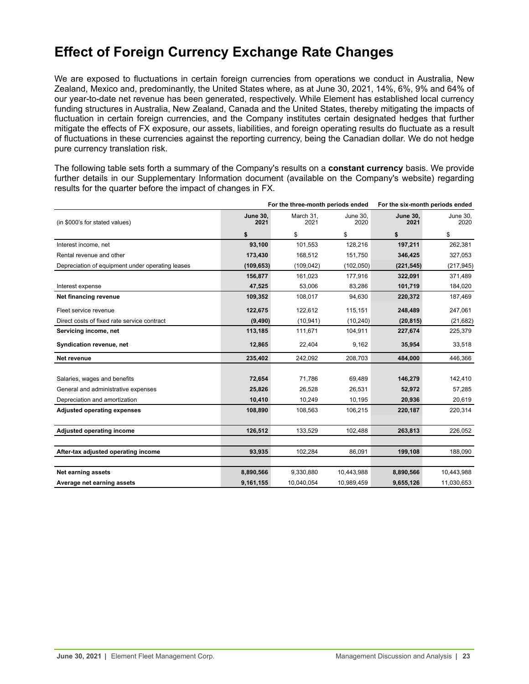## <span id="page-22-0"></span>**Effect of Foreign Currency Exchange Rate Changes**

We are exposed to fluctuations in certain foreign currencies from operations we conduct in Australia, New Zealand, Mexico and, predominantly, the United States where, as at June 30, 2021, 14%, 6%, 9% and 64% of our year-to-date net revenue has been generated, respectively. While Element has established local currency funding structures in Australia, New Zealand, Canada and the United States, thereby mitigating the impacts of fluctuation in certain foreign currencies, and the Company institutes certain designated hedges that further mitigate the effects of FX exposure, our assets, liabilities, and foreign operating results do fluctuate as a result of fluctuations in these currencies against the reporting currency, being the Canadian dollar. We do not hedge pure currency translation risk.

The following table sets forth a summary of the Company's results on a **constant currency** basis. We provide further details in our Supplementary Information document (available on the Company's website) regarding results for the quarter before the impact of changes in FX.

|                                                  |                         | For the three-month periods ended | For the six-month periods ended |                         |                  |
|--------------------------------------------------|-------------------------|-----------------------------------|---------------------------------|-------------------------|------------------|
| (in \$000's for stated values)                   | <b>June 30,</b><br>2021 | March 31,<br>2021                 | June 30.<br>2020                | <b>June 30.</b><br>2021 | June 30,<br>2020 |
|                                                  | \$                      | \$                                | \$                              | \$                      | \$               |
| Interest income, net                             | 93,100                  | 101,553                           | 128,216                         | 197,211                 | 262,381          |
| Rental revenue and other                         | 173,430                 | 168,512                           | 151,750                         | 346,425                 | 327,053          |
| Depreciation of equipment under operating leases | (109, 653)              | (109, 042)                        | (102, 050)                      | (221, 545)              | (217, 945)       |
|                                                  | 156,877                 | 161,023                           | 177,916                         | 322,091                 | 371,489          |
| Interest expense                                 | 47,525                  | 53,006                            | 83,286                          | 101,719                 | 184,020          |
| Net financing revenue                            | 109,352                 | 108,017                           | 94,630                          | 220,372                 | 187,469          |
| Fleet service revenue                            | 122,675                 | 122,612                           | 115,151                         | 248,489                 | 247,061          |
| Direct costs of fixed rate service contract      | (9, 490)                | (10, 941)                         | (10, 240)                       | (20, 815)               | (21, 682)        |
| Servicing income, net                            | 113,185                 | 111,671                           | 104,911                         | 227,674                 | 225,379          |
| Syndication revenue, net                         | 12,865                  | 22,404                            | 9,162                           | 35,954                  | 33,518           |
| Net revenue                                      | 235,402                 | 242,092                           | 208,703                         | 484,000                 | 446,366          |
|                                                  |                         |                                   |                                 |                         |                  |
| Salaries, wages and benefits                     | 72,654                  | 71,786                            | 69,489                          | 146,279                 | 142,410          |
| General and administrative expenses              | 25,826                  | 26,528                            | 26,531                          | 52,972                  | 57,285           |
| Depreciation and amortization                    | 10,410                  | 10,249                            | 10,195                          | 20,936                  | 20,619           |
| <b>Adjusted operating expenses</b>               | 108,890                 | 108,563                           | 106,215                         | 220,187                 | 220,314          |
| Adjusted operating income                        | 126,512                 | 133,529                           | 102,488                         | 263,813                 | 226,052          |
|                                                  |                         |                                   |                                 |                         |                  |
| After-tax adjusted operating income              | 93,935                  | 102,284                           | 86,091                          | 199,108                 | 188,090          |
|                                                  |                         |                                   |                                 |                         |                  |
| Net earning assets                               | 8,890,566               | 9,330,880                         | 10,443,988                      | 8,890,566               | 10,443,988       |
| Average net earning assets                       | 9,161,155               | 10,040,054                        | 10,989,459                      | 9,655,126               | 11,030,653       |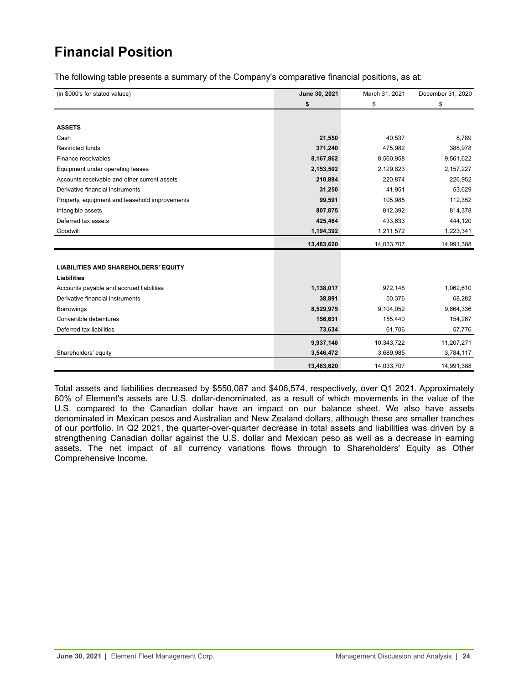# <span id="page-23-0"></span>**Financial Position**

The following table presents a summary of the Company's comparative financial positions, as at:

| (in \$000's for stated values)                 | June 30, 2021 | March 31, 2021 | December 31, 2020 |
|------------------------------------------------|---------------|----------------|-------------------|
|                                                | \$            | \$             | \$                |
|                                                |               |                |                   |
| <b>ASSETS</b>                                  |               |                |                   |
| Cash                                           | 21,550        | 40,537         | 8,789             |
| Restricted funds                               | 371,240       | 475,982        | 388,978           |
| Finance receivables                            | 8,167,862     | 8,560,958      | 9,561,622         |
| Equipment under operating leases               | 2,153,502     | 2,129,823      | 2,157,227         |
| Accounts receivable and other current assets   | 210,894       | 220,874        | 226,952           |
| Derivative financial instruments               | 31,250        | 41,951         | 53,629            |
| Property, equipment and leasehold improvements | 99,591        | 105,985        | 112,352           |
| Intangible assets                              | 807,875       | 812,392        | 814,378           |
| Deferred tax assets                            | 425,464       | 433,633        | 444,120           |
| Goodwill                                       | 1,194,392     | 1,211,572      | 1,223,341         |
|                                                | 13,483,620    | 14,033,707     | 14,991,388        |
|                                                |               |                |                   |
| <b>LIABILITIES AND SHAREHOLDERS' EQUITY</b>    |               |                |                   |
| <b>Liabilities</b>                             |               |                |                   |
| Accounts payable and accrued liabilities       | 1,138,017     | 972,148        | 1,062,610         |
| Derivative financial instruments               | 38,891        | 50,376         | 68,282            |
| <b>Borrowings</b>                              | 8,529,975     | 9,104,052      | 9,864,336         |
| Convertible debentures                         | 156,631       | 155,440        | 154,267           |
| Deferred tax liabilities                       | 73,634        | 61,706         | 57,776            |
|                                                | 9,937,148     | 10,343,722     | 11,207,271        |
| Shareholders' equity                           | 3,546,472     | 3,689,985      | 3,784,117         |
|                                                | 13,483,620    | 14,033,707     | 14,991,388        |

Total assets and liabilities decreased by \$550,087 and \$406,574, respectively, over Q1 2021. Approximately 60% of Element's assets are U.S. dollar-denominated, as a result of which movements in the value of the U.S. compared to the Canadian dollar have an impact on our balance sheet. We also have assets denominated in Mexican pesos and Australian and New Zealand dollars, although these are smaller tranches of our portfolio. In Q2 2021, the quarter-over-quarter decrease in total assets and liabilities was driven by a strengthening Canadian dollar against the U.S. dollar and Mexican peso as well as a decrease in earning assets. The net impact of all currency variations flows through to Shareholders' Equity as Other Comprehensive Income.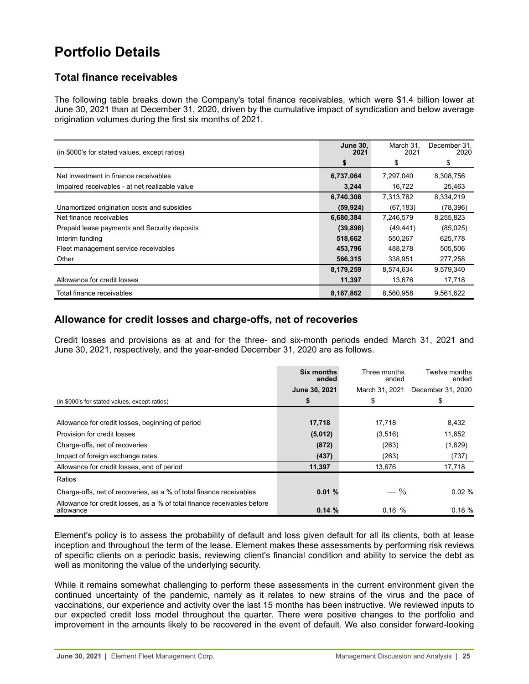## <span id="page-24-0"></span>**Portfolio Details**

## **Total finance receivables**

The following table breaks down the Company's total finance receivables, which were \$1.4 billion lower at June 30, 2021 than at December 31, 2020, driven by the cumulative impact of syndication and below average origination volumes during the first six months of 2021.

| (in \$000's for stated values, except ratios)  | <b>June 30,</b><br>2021 | March 31,<br>2021 | December 31,<br>2020 |
|------------------------------------------------|-------------------------|-------------------|----------------------|
|                                                | S                       | \$                | \$                   |
| Net investment in finance receivables          | 6,737,064               | 7,297,040         | 8,308,756            |
| Impaired receivables - at net realizable value | 3,244                   | 16,722            | 25,463               |
|                                                | 6,740,308               | 7,313,762         | 8,334,219            |
| Unamortized origination costs and subsidies    | (59, 924)               | (67, 183)         | (78, 396)            |
| Net finance receivables                        | 6,680,384               | 7,246,579         | 8,255,823            |
| Prepaid lease payments and Security deposits   | (39, 898)               | (49, 441)         | (85,025)             |
| Interim funding                                | 518,662                 | 550.267           | 625,778              |
| Fleet management service receivables           | 453,796                 | 488,278           | 505,506              |
| Other                                          | 566,315                 | 338,951           | 277,258              |
|                                                | 8,179,259               | 8,574,634         | 9,579,340            |
| Allowance for credit losses                    | 11,397                  | 13,676            | 17,718               |
| Total finance receivables                      | 8,167,862               | 8.560.958         | 9,561,622            |

## **Allowance for credit losses and charge-offs, net of recoveries**

Credit losses and provisions as at and for the three- and six-month periods ended March 31, 2021 and June 30, 2021, respectively, and the year-ended December 31, 2020 are as follows.

|                                                                                      | Six months<br>ended | Three months<br>ended | Twelve months<br>ended |
|--------------------------------------------------------------------------------------|---------------------|-----------------------|------------------------|
|                                                                                      | June 30, 2021       | March 31, 2021        | December 31, 2020      |
| (in \$000's for stated values, except ratios)                                        | \$                  | \$                    | \$                     |
|                                                                                      |                     |                       |                        |
| Allowance for credit losses, beginning of period                                     | 17,718              | 17.718                | 8,432                  |
| Provision for credit losses                                                          | (5,012)             | (3,516)               | 11,652                 |
| Charge-offs, net of recoveries                                                       | (872)               | (263)                 | (1,629)                |
| Impact of foreign exchange rates                                                     | (437)               | (263)                 | (737)                  |
| Allowance for credit losses, end of period                                           | 11,397              | 13,676                | 17,718                 |
| Ratios                                                                               |                     |                       |                        |
| Charge-offs, net of recoveries, as a % of total finance receivables                  | 0.01%               | $- \frac{9}{6}$       | $0.02 \%$              |
| Allowance for credit losses, as a % of total finance receivables before<br>allowance | 0.14%               | 0.16%                 | 0.18%                  |

Element's policy is to assess the probability of default and loss given default for all its clients, both at lease inception and throughout the term of the lease. Element makes these assessments by performing risk reviews of specific clients on a periodic basis, reviewing client's financial condition and ability to service the debt as well as monitoring the value of the underlying security.

While it remains somewhat challenging to perform these assessments in the current environment given the continued uncertainty of the pandemic, namely as it relates to new strains of the virus and the pace of vaccinations, our experience and activity over the last 15 months has been instructive. We reviewed inputs to our expected credit loss model throughout the quarter. There were positive changes to the portfolio and improvement in the amounts likely to be recovered in the event of default. We also consider forward-looking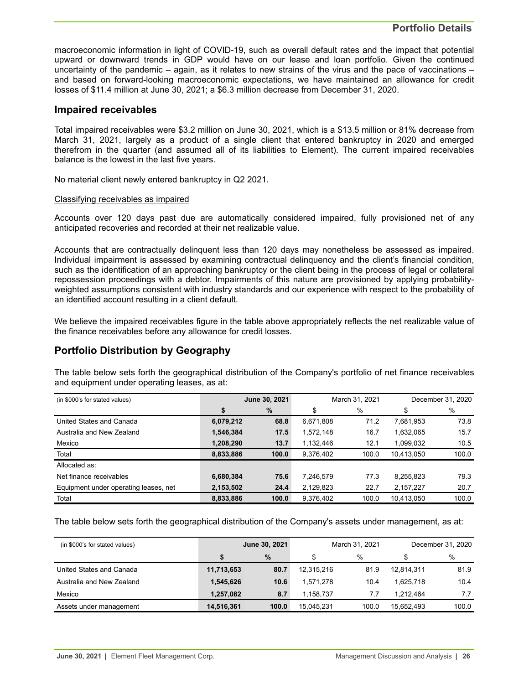macroeconomic information in light of COVID-19, such as overall default rates and the impact that potential upward or downward trends in GDP would have on our lease and loan portfolio. Given the continued uncertainty of the pandemic – again, as it relates to new strains of the virus and the pace of vaccinations – and based on forward-looking macroeconomic expectations, we have maintained an allowance for credit losses of \$11.4 million at June 30, 2021; a \$6.3 million decrease from December 31, 2020.

## **Impaired receivables**

Total impaired receivables were \$3.2 million on June 30, 2021, which is a \$13.5 million or 81% decrease from March 31, 2021, largely as a product of a single client that entered bankruptcy in 2020 and emerged therefrom in the quarter (and assumed all of its liabilities to Element). The current impaired receivables balance is the lowest in the last five years.

No material client newly entered bankruptcy in Q2 2021.

#### Classifying receivables as impaired

Accounts over 120 days past due are automatically considered impaired, fully provisioned net of any anticipated recoveries and recorded at their net realizable value.

Accounts that are contractually delinquent less than 120 days may nonetheless be assessed as impaired. Individual impairment is assessed by examining contractual delinquency and the client's financial condition, such as the identification of an approaching bankruptcy or the client being in the process of legal or collateral repossession proceedings with a debtor. Impairments of this nature are provisioned by applying probabilityweighted assumptions consistent with industry standards and our experience with respect to the probability of an identified account resulting in a client default.

We believe the impaired receivables figure in the table above appropriately reflects the net realizable value of the finance receivables before any allowance for credit losses.

## **Portfolio Distribution by Geography**

The table below sets forth the geographical distribution of the Company's portfolio of net finance receivables and equipment under operating leases, as at:

| (in \$000's for stated values)        | June 30, 2021 |       |           | March 31, 2021 | December 31, 2020 |       |  |
|---------------------------------------|---------------|-------|-----------|----------------|-------------------|-------|--|
|                                       | \$            | %     | \$        | %              | \$                | %     |  |
| United States and Canada              | 6,079,212     | 68.8  | 6,671,808 | 71.2           | 7,681,953         | 73.8  |  |
| Australia and New Zealand             | 1,546,384     | 17.5  | 1,572,148 | 16.7           | 1,632,065         | 15.7  |  |
| Mexico                                | 1,208,290     | 13.7  | 1,132,446 | 12.1           | 1.099.032         | 10.5  |  |
| Total                                 | 8,833,886     | 100.0 | 9,376,402 | 100.0          | 10.413.050        | 100.0 |  |
| Allocated as:                         |               |       |           |                |                   |       |  |
| Net finance receivables               | 6,680,384     | 75.6  | 7,246,579 | 77.3           | 8,255,823         | 79.3  |  |
| Equipment under operating leases, net | 2,153,502     | 24.4  | 2,129,823 | 22.7           | 2,157,227         | 20.7  |  |
| Total                                 | 8.833.886     | 100.0 | 9.376.402 | 100.0          | 10.413.050        | 100.0 |  |

The table below sets forth the geographical distribution of the Company's assets under management, as at:

| (in \$000's for stated values) | June 30, 2021 |       |            | March 31, 2021 | December 31, 2020 |       |  |
|--------------------------------|---------------|-------|------------|----------------|-------------------|-------|--|
|                                |               | $\%$  | \$         | $\%$           |                   | %     |  |
| United States and Canada       | 11,713,653    | 80.7  | 12,315,216 | 81.9           | 12.814.311        | 81.9  |  |
| Australia and New Zealand      | 1,545,626     | 10.6  | 1.571.278  | 10.4           | 1.625.718         | 10.4  |  |
| Mexico                         | 1.257.082     | 8.7   | 1.158.737  | 7.7            | 1.212.464         | 7.7   |  |
| Assets under management        | 14,516,361    | 100.0 | 15.045.231 | 100.0          | 15.652.493        | 100.0 |  |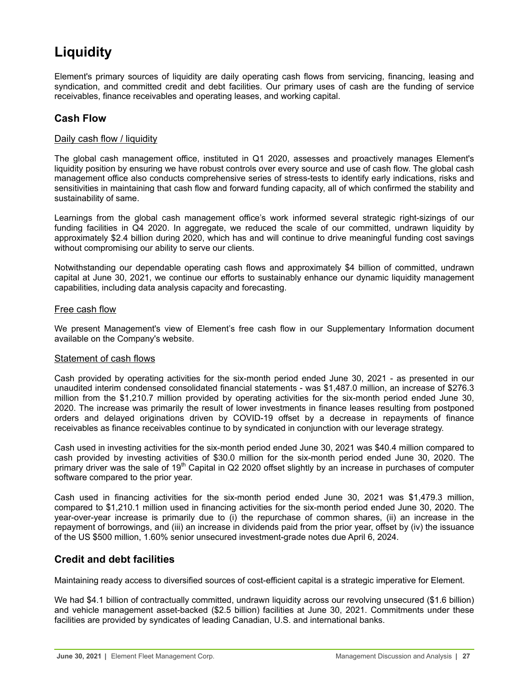# <span id="page-26-0"></span>**Liquidity**

Element's primary sources of liquidity are daily operating cash flows from servicing, financing, leasing and syndication, and committed credit and debt facilities. Our primary uses of cash are the funding of service receivables, finance receivables and operating leases, and working capital.

## **Cash Flow**

## Daily cash flow / liquidity

The global cash management office, instituted in Q1 2020, assesses and proactively manages Element's liquidity position by ensuring we have robust controls over every source and use of cash flow. The global cash management office also conducts comprehensive series of stress-tests to identify early indications, risks and sensitivities in maintaining that cash flow and forward funding capacity, all of which confirmed the stability and sustainability of same.

Learnings from the global cash management office's work informed several strategic right-sizings of our funding facilities in Q4 2020. In aggregate, we reduced the scale of our committed, undrawn liquidity by approximately \$2.4 billion during 2020, which has and will continue to drive meaningful funding cost savings without compromising our ability to serve our clients.

Notwithstanding our dependable operating cash flows and approximately \$4 billion of committed, undrawn capital at June 30, 2021, we continue our efforts to sustainably enhance our dynamic liquidity management capabilities, including data analysis capacity and forecasting.

## Free cash flow

We present Management's view of Element's free cash flow in our Supplementary Information document available on the Company's website.

### Statement of cash flows

Cash provided by operating activities for the six-month period ended June 30, 2021 - as presented in our unaudited interim condensed consolidated financial statements - was \$1,487.0 million, an increase of \$276.3 million from the \$1,210.7 million provided by operating activities for the six-month period ended June 30, 2020. The increase was primarily the result of lower investments in finance leases resulting from postponed orders and delayed originations driven by COVID-19 offset by a decrease in repayments of finance receivables as finance receivables continue to by syndicated in conjunction with our leverage strategy.

Cash used in investing activities for the six-month period ended June 30, 2021 was \$40.4 million compared to cash provided by investing activities of \$30.0 million for the six-month period ended June 30, 2020. The primary driver was the sale of 19<sup>th</sup> Capital in Q2 2020 offset slightly by an increase in purchases of computer software compared to the prior year.

Cash used in financing activities for the six-month period ended June 30, 2021 was \$1,479.3 million, compared to \$1,210.1 million used in financing activities for the six-month period ended June 30, 2020. The year-over-year increase is primarily due to (i) the repurchase of common shares, (ii) an increase in the repayment of borrowings, and (iii) an increase in dividends paid from the prior year, offset by (iv) the issuance of the US \$500 million, 1.60% senior unsecured investment-grade notes due April 6, 2024.

## **Credit and debt facilities**

Maintaining ready access to diversified sources of cost-efficient capital is a strategic imperative for Element.

We had \$4.1 billion of contractually committed, undrawn liquidity across our revolving unsecured (\$1.6 billion) and vehicle management asset-backed (\$2.5 billion) facilities at June 30, 2021. Commitments under these facilities are provided by syndicates of leading Canadian, U.S. and international banks.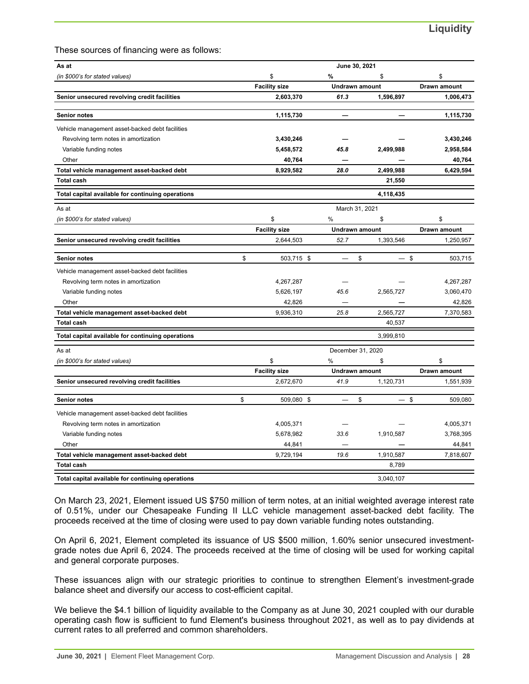These sources of financing were as follows:

| As at                                             | June 30, 2021 |                      |                       |           |                     |  |
|---------------------------------------------------|---------------|----------------------|-----------------------|-----------|---------------------|--|
| (in \$000's for stated values)                    |               | \$                   | %                     | S         | \$                  |  |
|                                                   |               | <b>Facility size</b> | <b>Undrawn amount</b> |           | Drawn amount        |  |
| Senior unsecured revolving credit facilities      |               | 2,603,370            | 61.3                  | 1,596,897 | 1,006,473           |  |
| <b>Senior notes</b>                               |               | 1,115,730            |                       |           | 1,115,730           |  |
| Vehicle management asset-backed debt facilities   |               |                      |                       |           |                     |  |
| Revolving term notes in amortization              |               | 3,430,246            |                       |           | 3,430,246           |  |
| Variable funding notes                            |               | 5,458,572            | 45.8                  | 2,499,988 | 2,958,584           |  |
| Other                                             |               | 40,764               |                       |           | 40,764              |  |
| Total vehicle management asset-backed debt        |               | 8,929,582            | 28.0                  | 2,499,988 | 6,429,594           |  |
| <b>Total cash</b>                                 |               |                      |                       | 21,550    |                     |  |
| Total capital available for continuing operations |               |                      |                       | 4,118,435 |                     |  |
| As at                                             |               |                      | March 31, 2021        |           |                     |  |
| (in \$000's for stated values)                    |               | \$                   | %                     | \$        | \$                  |  |
|                                                   |               | <b>Facility size</b> | <b>Undrawn amount</b> |           | <b>Drawn amount</b> |  |
| Senior unsecured revolving credit facilities      |               | 2,644,503            | 52.7                  | 1,393,546 | 1,250,957           |  |
| <b>Senior notes</b>                               | \$            | 503,715 \$           | \$                    | $-$ \$    | 503,715             |  |
| Vehicle management asset-backed debt facilities   |               |                      |                       |           |                     |  |
| Revolving term notes in amortization              |               | 4,267,287            |                       |           | 4,267,287           |  |
| Variable funding notes                            |               | 5,626,197            | 45.6                  | 2,565,727 | 3,060,470           |  |
| Other                                             |               | 42,826               |                       |           | 42,826              |  |
| Total vehicle management asset-backed debt        |               | 9,936,310            | 25.8                  | 2,565,727 | 7,370,583           |  |
| <b>Total cash</b>                                 |               |                      |                       | 40,537    |                     |  |
| Total capital available for continuing operations |               |                      |                       | 3,999,810 |                     |  |
| As at                                             |               |                      | December 31, 2020     |           |                     |  |
| (in \$000's for stated values)                    |               | \$                   | %                     | \$        | \$                  |  |
|                                                   |               | <b>Facility size</b> | <b>Undrawn amount</b> |           | Drawn amount        |  |
| Senior unsecured revolving credit facilities      |               | 2,672,670            | 41.9                  | 1,120,731 | 1,551,939           |  |
| <b>Senior notes</b>                               | \$            | 509,080 \$           | \$                    | $-$ \$    | 509,080             |  |
| Vehicle management asset-backed debt facilities   |               |                      |                       |           |                     |  |
| Revolving term notes in amortization              |               | 4,005,371            |                       |           | 4,005,371           |  |
| Variable funding notes                            |               | 5,678,982            | 33.6                  | 1,910,587 | 3,768,395           |  |
| Other                                             |               | 44,841               |                       |           | 44,841              |  |
| Total vehicle management asset-backed debt        |               | 9,729,194            | 19.6                  | 1,910,587 | 7,818,607           |  |
| <b>Total cash</b>                                 |               |                      |                       | 8,789     |                     |  |
| Total capital available for continuing operations |               |                      |                       | 3.040.107 |                     |  |

On March 23, 2021, Element issued US \$750 million of term notes, at an initial weighted average interest rate of 0.51%, under our Chesapeake Funding II LLC vehicle management asset-backed debt facility. The proceeds received at the time of closing were used to pay down variable funding notes outstanding.

On April 6, 2021, Element completed its issuance of US \$500 million, 1.60% senior unsecured investmentgrade notes due April 6, 2024. The proceeds received at the time of closing will be used for working capital and general corporate purposes.

These issuances align with our strategic priorities to continue to strengthen Element's investment-grade balance sheet and diversify our access to cost-efficient capital.

We believe the \$4.1 billion of liquidity available to the Company as at June 30, 2021 coupled with our durable operating cash flow is sufficient to fund Element's business throughout 2021, as well as to pay dividends at current rates to all preferred and common shareholders.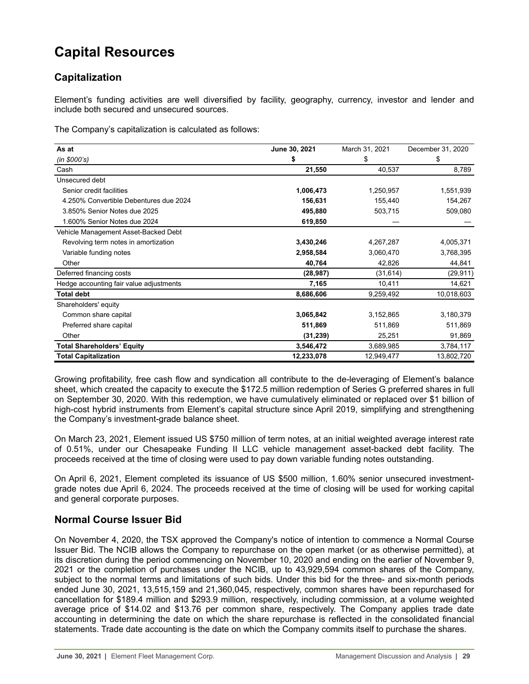## <span id="page-28-0"></span>**Capital Resources**

## **Capitalization**

Element's funding activities are well diversified by facility, geography, currency, investor and lender and include both secured and unsecured sources.

The Company's capitalization is calculated as follows:

| As at                                   | June 30, 2021 | March 31, 2021 | December 31, 2020 |  |
|-----------------------------------------|---------------|----------------|-------------------|--|
| (in \$000's)                            | \$            | S              | \$                |  |
| Cash                                    | 21,550        | 40,537         | 8,789             |  |
| Unsecured debt                          |               |                |                   |  |
| Senior credit facilities                | 1,006,473     | 1,250,957      | 1,551,939         |  |
| 4.250% Convertible Debentures due 2024  | 156,631       | 155,440        | 154,267           |  |
| 3.850% Senior Notes due 2025            | 495,880       | 503,715        | 509,080           |  |
| 1.600% Senior Notes due 2024            | 619,850       |                |                   |  |
| Vehicle Management Asset-Backed Debt    |               |                |                   |  |
| Revolving term notes in amortization    | 3,430,246     | 4,267,287      | 4,005,371         |  |
| Variable funding notes                  | 2,958,584     | 3,060,470      | 3,768,395         |  |
| Other                                   | 40,764        | 42,826         | 44,841            |  |
| Deferred financing costs                | (28, 987)     | (31, 614)      | (29, 911)         |  |
| Hedge accounting fair value adjustments | 7,165         | 10,411         | 14,621            |  |
| <b>Total debt</b>                       | 8,686,606     | 9,259,492      | 10,018,603        |  |
| Shareholders' equity                    |               |                |                   |  |
| Common share capital                    | 3,065,842     | 3,152,865      | 3,180,379         |  |
| Preferred share capital                 | 511,869       | 511,869        | 511,869           |  |
| Other                                   | (31, 239)     | 25,251         | 91,869            |  |
| <b>Total Shareholders' Equity</b>       | 3,546,472     | 3,689,985      | 3,784,117         |  |
| <b>Total Capitalization</b>             | 12,233,078    | 12,949,477     | 13,802,720        |  |

Growing profitability, free cash flow and syndication all contribute to the de-leveraging of Element's balance sheet, which created the capacity to execute the \$172.5 million redemption of Series G preferred shares in full on September 30, 2020. With this redemption, we have cumulatively eliminated or replaced over \$1 billion of high-cost hybrid instruments from Element's capital structure since April 2019, simplifying and strengthening the Company's investment-grade balance sheet.

On March 23, 2021, Element issued US \$750 million of term notes, at an initial weighted average interest rate of 0.51%, under our Chesapeake Funding II LLC vehicle management asset-backed debt facility. The proceeds received at the time of closing were used to pay down variable funding notes outstanding.

On April 6, 2021, Element completed its issuance of US \$500 million, 1.60% senior unsecured investmentgrade notes due April 6, 2024. The proceeds received at the time of closing will be used for working capital and general corporate purposes.

## **Normal Course Issuer Bid**

On November 4, 2020, the TSX approved the Company's notice of intention to commence a Normal Course Issuer Bid. The NCIB allows the Company to repurchase on the open market (or as otherwise permitted), at its discretion during the period commencing on November 10, 2020 and ending on the earlier of November 9, 2021 or the completion of purchases under the NCIB, up to 43,929,594 common shares of the Company, subject to the normal terms and limitations of such bids. Under this bid for the three- and six-month periods ended June 30, 2021, 13,515,159 and 21,360,045, respectively, common shares have been repurchased for cancellation for \$189.4 million and \$293.9 million, respectively, including commission, at a volume weighted average price of \$14.02 and \$13.76 per common share, respectively. The Company applies trade date accounting in determining the date on which the share repurchase is reflected in the consolidated financial statements. Trade date accounting is the date on which the Company commits itself to purchase the shares.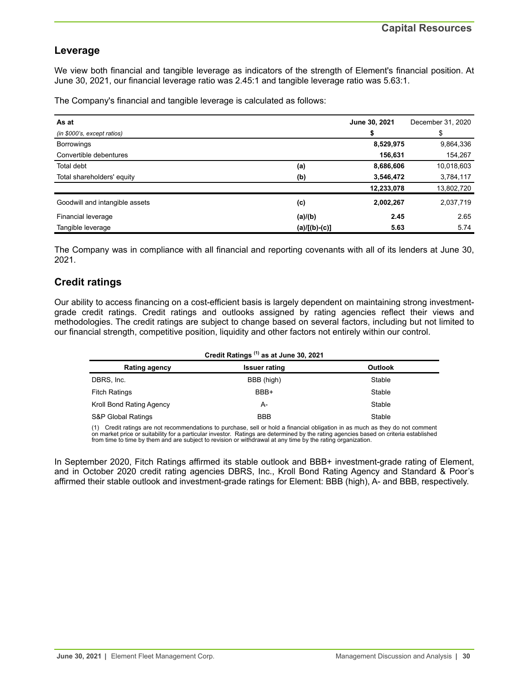## **Leverage**

We view both financial and tangible leverage as indicators of the strength of Element's financial position. At June 30, 2021, our financial leverage ratio was 2.45:1 and tangible leverage ratio was 5.63:1.

The Company's financial and tangible leverage is calculated as follows:

| As at                          |                 | June 30, 2021 | December 31, 2020 |
|--------------------------------|-----------------|---------------|-------------------|
| (in \$000's, except ratios)    |                 | \$            | \$                |
| <b>Borrowings</b>              |                 | 8,529,975     | 9,864,336         |
| Convertible debentures         |                 | 156,631       | 154,267           |
| Total debt                     | (a)             | 8,686,606     | 10,018,603        |
| Total shareholders' equity     | (b)             | 3,546,472     | 3,784,117         |
|                                |                 | 12,233,078    | 13,802,720        |
| Goodwill and intangible assets | (c)             | 2,002,267     | 2,037,719         |
| Financial leverage             | (a)/(b)         | 2.45          | 2.65              |
| Tangible leverage              | $(a)/[(b)-(c)]$ | 5.63          | 5.74              |

The Company was in compliance with all financial and reporting covenants with all of its lenders at June 30, 2021.

## **Credit ratings**

Our ability to access financing on a cost-efficient basis is largely dependent on maintaining strong investmentgrade credit ratings. Credit ratings and outlooks assigned by rating agencies reflect their views and methodologies. The credit ratings are subject to change based on several factors, including but not limited to our financial strength, competitive position, liquidity and other factors not entirely within our control.

| Credit Ratings <sup>(1)</sup> as at June 30, 2021 |                      |                |  |  |  |  |
|---------------------------------------------------|----------------------|----------------|--|--|--|--|
| Rating agency                                     | <b>Issuer rating</b> | <b>Outlook</b> |  |  |  |  |
| DBRS, Inc.                                        | BBB (high)           | Stable         |  |  |  |  |
| <b>Fitch Ratings</b>                              | BBB+                 | Stable         |  |  |  |  |
| Kroll Bond Rating Agency                          | A-                   | Stable         |  |  |  |  |
| <b>S&amp;P Global Ratings</b>                     | <b>BBB</b>           | Stable         |  |  |  |  |

(1) Credit ratings are not recommendations to purchase, sell or hold a financial obligation in as much as they do not comment on market price or suitability for a particular investor. Ratings are determined by the rating agencies based on criteria established<br>from time to time by them and are subject to revision or withdrawal at any time by the

In September 2020, Fitch Ratings affirmed its stable outlook and BBB+ investment-grade rating of Element, and in October 2020 credit rating agencies DBRS, Inc., Kroll Bond Rating Agency and Standard & Poor's affirmed their stable outlook and investment-grade ratings for Element: BBB (high), A- and BBB, respectively.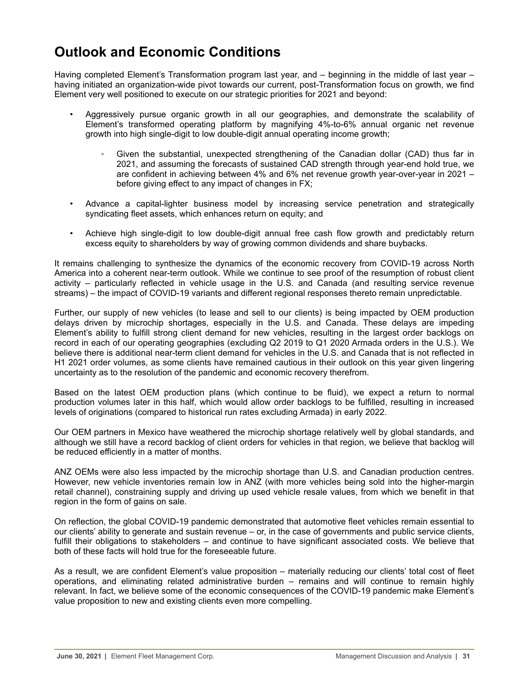## <span id="page-30-0"></span>**Outlook and Economic Conditions**

Having completed Element's Transformation program last year, and – beginning in the middle of last year – having initiated an organization-wide pivot towards our current, post-Transformation focus on growth, we find Element very well positioned to execute on our strategic priorities for 2021 and beyond:

- Aggressively pursue organic growth in all our geographies, and demonstrate the scalability of Element's transformed operating platform by magnifying 4%-to-6% annual organic net revenue growth into high single-digit to low double-digit annual operating income growth;
	- Given the substantial, unexpected strengthening of the Canadian dollar (CAD) thus far in 2021, and assuming the forecasts of sustained CAD strength through year-end hold true, we are confident in achieving between 4% and 6% net revenue growth year-over-year in 2021 – before giving effect to any impact of changes in FX;
- Advance a capital-lighter business model by increasing service penetration and strategically syndicating fleet assets, which enhances return on equity; and
- Achieve high single-digit to low double-digit annual free cash flow growth and predictably return excess equity to shareholders by way of growing common dividends and share buybacks.

It remains challenging to synthesize the dynamics of the economic recovery from COVID-19 across North America into a coherent near-term outlook. While we continue to see proof of the resumption of robust client activity – particularly reflected in vehicle usage in the U.S. and Canada (and resulting service revenue streams) – the impact of COVID-19 variants and different regional responses thereto remain unpredictable.

Further, our supply of new vehicles (to lease and sell to our clients) is being impacted by OEM production delays driven by microchip shortages, especially in the U.S. and Canada. These delays are impeding Element's ability to fulfill strong client demand for new vehicles, resulting in the largest order backlogs on record in each of our operating geographies (excluding Q2 2019 to Q1 2020 Armada orders in the U.S.). We believe there is additional near-term client demand for vehicles in the U.S. and Canada that is not reflected in H1 2021 order volumes, as some clients have remained cautious in their outlook on this year given lingering uncertainty as to the resolution of the pandemic and economic recovery therefrom.

Based on the latest OEM production plans (which continue to be fluid), we expect a return to normal production volumes later in this half, which would allow order backlogs to be fulfilled, resulting in increased levels of originations (compared to historical run rates excluding Armada) in early 2022.

Our OEM partners in Mexico have weathered the microchip shortage relatively well by global standards, and although we still have a record backlog of client orders for vehicles in that region, we believe that backlog will be reduced efficiently in a matter of months.

ANZ OEMs were also less impacted by the microchip shortage than U.S. and Canadian production centres. However, new vehicle inventories remain low in ANZ (with more vehicles being sold into the higher-margin retail channel), constraining supply and driving up used vehicle resale values, from which we benefit in that region in the form of gains on sale.

On reflection, the global COVID-19 pandemic demonstrated that automotive fleet vehicles remain essential to our clients' ability to generate and sustain revenue – or, in the case of governments and public service clients, fulfill their obligations to stakeholders – and continue to have significant associated costs. We believe that both of these facts will hold true for the foreseeable future.

As a result, we are confident Element's value proposition – materially reducing our clients' total cost of fleet operations, and eliminating related administrative burden – remains and will continue to remain highly relevant. In fact, we believe some of the economic consequences of the COVID-19 pandemic make Element's value proposition to new and existing clients even more compelling.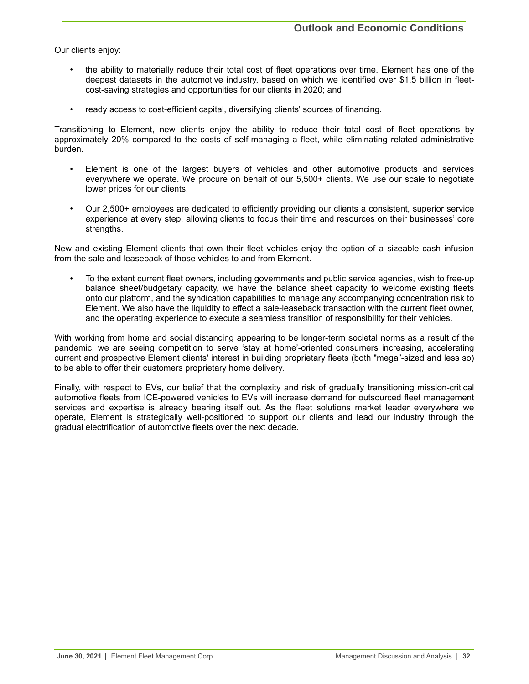Our clients enjoy:

- the ability to materially reduce their total cost of fleet operations over time. Element has one of the deepest datasets in the automotive industry, based on which we identified over \$1.5 billion in fleetcost-saving strategies and opportunities for our clients in 2020; and
- ready access to cost-efficient capital, diversifying clients' sources of financing.

Transitioning to Element, new clients enjoy the ability to reduce their total cost of fleet operations by approximately 20% compared to the costs of self-managing a fleet, while eliminating related administrative burden.

- Element is one of the largest buyers of vehicles and other automotive products and services everywhere we operate. We procure on behalf of our 5,500+ clients. We use our scale to negotiate lower prices for our clients.
- Our 2,500+ employees are dedicated to efficiently providing our clients a consistent, superior service experience at every step, allowing clients to focus their time and resources on their businesses' core strengths.

New and existing Element clients that own their fleet vehicles enjoy the option of a sizeable cash infusion from the sale and leaseback of those vehicles to and from Element.

• To the extent current fleet owners, including governments and public service agencies, wish to free-up balance sheet/budgetary capacity, we have the balance sheet capacity to welcome existing fleets onto our platform, and the syndication capabilities to manage any accompanying concentration risk to Element. We also have the liquidity to effect a sale-leaseback transaction with the current fleet owner, and the operating experience to execute a seamless transition of responsibility for their vehicles.

With working from home and social distancing appearing to be longer-term societal norms as a result of the pandemic, we are seeing competition to serve 'stay at home'-oriented consumers increasing, accelerating current and prospective Element clients' interest in building proprietary fleets (both "mega"-sized and less so) to be able to offer their customers proprietary home delivery.

Finally, with respect to EVs, our belief that the complexity and risk of gradually transitioning mission-critical automotive fleets from ICE-powered vehicles to EVs will increase demand for outsourced fleet management services and expertise is already bearing itself out. As the fleet solutions market leader everywhere we operate, Element is strategically well-positioned to support our clients and lead our industry through the gradual electrification of automotive fleets over the next decade.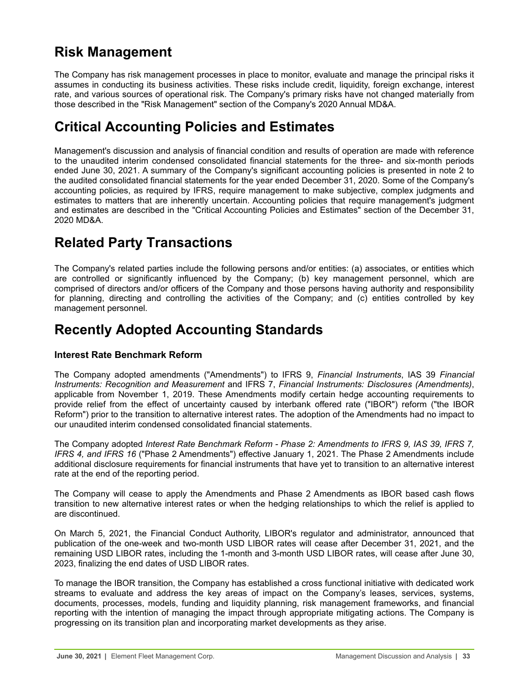## <span id="page-32-0"></span>**Risk Management**

The Company has risk management processes in place to monitor, evaluate and manage the principal risks it assumes in conducting its business activities. These risks include credit, liquidity, foreign exchange, interest rate, and various sources of operational risk. The Company's primary risks have not changed materially from those described in the "Risk Management" section of the Company's 2020 Annual MD&A.

## **Critical Accounting Policies and Estimates**

Management's discussion and analysis of financial condition and results of operation are made with reference to the unaudited interim condensed consolidated financial statements for the three- and six-month periods ended June 30, 2021. A summary of the Company's significant accounting policies is presented in note 2 to the audited consolidated financial statements for the year ended December 31, 2020. Some of the Company's accounting policies, as required by IFRS, require management to make subjective, complex judgments and estimates to matters that are inherently uncertain. Accounting policies that require management's judgment and estimates are described in the "Critical Accounting Policies and Estimates" section of the December 31, 2020 MD&A.

## **Related Party Transactions**

The Company's related parties include the following persons and/or entities: (a) associates, or entities which are controlled or significantly influenced by the Company; (b) key management personnel, which are comprised of directors and/or officers of the Company and those persons having authority and responsibility for planning, directing and controlling the activities of the Company; and (c) entities controlled by key management personnel.

## **Recently Adopted Accounting Standards**

## **Interest Rate Benchmark Reform**

The Company adopted amendments ("Amendments") to IFRS 9, *Financial Instruments*, IAS 39 *Financial Instruments: Recognition and Measurement* and IFRS 7, *Financial Instruments: Disclosures (Amendments)*, applicable from November 1, 2019. These Amendments modify certain hedge accounting requirements to provide relief from the effect of uncertainty caused by interbank offered rate ("IBOR") reform ("the IBOR Reform") prior to the transition to alternative interest rates. The adoption of the Amendments had no impact to our unaudited interim condensed consolidated financial statements.

The Company adopted *Interest Rate Benchmark Reform - Phase 2: Amendments to IFRS 9, IAS 39, IFRS 7, IFRS 4, and IFRS 16* ("Phase 2 Amendments") effective January 1, 2021. The Phase 2 Amendments include additional disclosure requirements for financial instruments that have yet to transition to an alternative interest rate at the end of the reporting period.

The Company will cease to apply the Amendments and Phase 2 Amendments as IBOR based cash flows transition to new alternative interest rates or when the hedging relationships to which the relief is applied to are discontinued.

On March 5, 2021, the Financial Conduct Authority, LIBOR's regulator and administrator, announced that publication of the one-week and two-month USD LIBOR rates will cease after December 31, 2021, and the remaining USD LIBOR rates, including the 1-month and 3-month USD LIBOR rates, will cease after June 30, 2023, finalizing the end dates of USD LIBOR rates.

To manage the IBOR transition, the Company has established a cross functional initiative with dedicated work streams to evaluate and address the key areas of impact on the Company's leases, services, systems, documents, processes, models, funding and liquidity planning, risk management frameworks, and financial reporting with the intention of managing the impact through appropriate mitigating actions. The Company is progressing on its transition plan and incorporating market developments as they arise.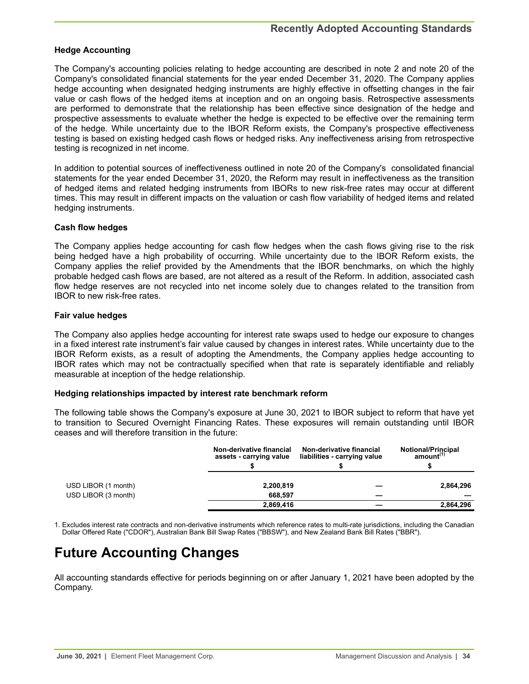## <span id="page-33-0"></span>**Hedge Accounting**

The Company's accounting policies relating to hedge accounting are described in note 2 and note 20 of the Company's consolidated financial statements for the year ended December 31, 2020. The Company applies hedge accounting when designated hedging instruments are highly effective in offsetting changes in the fair value or cash flows of the hedged items at inception and on an ongoing basis. Retrospective assessments are performed to demonstrate that the relationship has been effective since designation of the hedge and prospective assessments to evaluate whether the hedge is expected to be effective over the remaining term of the hedge. While uncertainty due to the IBOR Reform exists, the Company's prospective effectiveness testing is based on existing hedged cash flows or hedged risks. Any ineffectiveness arising from retrospective testing is recognized in net income.

In addition to potential sources of ineffectiveness outlined in note 20 of the Company's consolidated financial statements for the year ended December 31, 2020, the Reform may result in ineffectiveness as the transition of hedged items and related hedging instruments from IBORs to new risk-free rates may occur at different times. This may result in different impacts on the valuation or cash flow variability of hedged items and related hedging instruments.

### **Cash flow hedges**

The Company applies hedge accounting for cash flow hedges when the cash flows giving rise to the risk being hedged have a high probability of occurring. While uncertainty due to the IBOR Reform exists, the Company applies the relief provided by the Amendments that the IBOR benchmarks, on which the highly probable hedged cash flows are based, are not altered as a result of the Reform. In addition, associated cash flow hedge reserves are not recycled into net income solely due to changes related to the transition from IBOR to new risk-free rates.

### **Fair value hedges**

The Company also applies hedge accounting for interest rate swaps used to hedge our exposure to changes in a fixed interest rate instrument's fair value caused by changes in interest rates. While uncertainty due to the IBOR Reform exists, as a result of adopting the Amendments, the Company applies hedge accounting to IBOR rates which may not be contractually specified when that rate is separately identifiable and reliably measurable at inception of the hedge relationship.

### **Hedging relationships impacted by interest rate benchmark reform**

The following table shows the Company's exposure at June 30, 2021 to IBOR subject to reform that have yet to transition to Secured Overnight Financing Rates. These exposures will remain outstanding until IBOR ceases and will therefore transition in the future:

|                     | Non-derivative financial<br>assets - carrying value | Non-derivative financial<br>liabilities - carrying value | <b>Notional/Principal</b><br>amount <sup>(1)</sup> |
|---------------------|-----------------------------------------------------|----------------------------------------------------------|----------------------------------------------------|
| USD LIBOR (1 month) | 2,200,819                                           |                                                          | 2,864,296                                          |
| USD LIBOR (3 month) | 668.597                                             |                                                          |                                                    |
|                     | 2,869,416                                           |                                                          | 2,864,296                                          |

1. Excludes interest rate contracts and non-derivative instruments which reference rates to multi-rate jurisdictions, including the Canadian Dollar Offered Rate ("CDOR"), Australian Bank Bill Swap Rates ("BBSW"), and New Zealand Bank Bill Rates ("BBR").

## **Future Accounting Changes**

All accounting standards effective for periods beginning on or after January 1, 2021 have been adopted by the Company.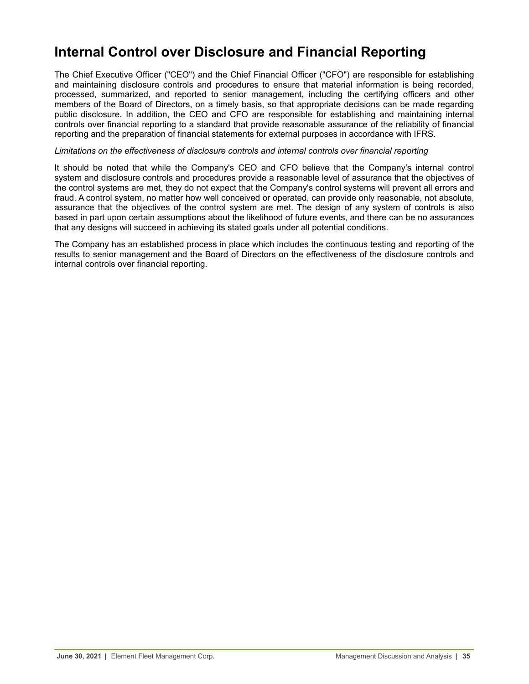## <span id="page-34-0"></span>**Internal Control over Disclosure and Financial Reporting**

The Chief Executive Officer ("CEO") and the Chief Financial Officer ("CFO") are responsible for establishing and maintaining disclosure controls and procedures to ensure that material information is being recorded, processed, summarized, and reported to senior management, including the certifying officers and other members of the Board of Directors, on a timely basis, so that appropriate decisions can be made regarding public disclosure. In addition, the CEO and CFO are responsible for establishing and maintaining internal controls over financial reporting to a standard that provide reasonable assurance of the reliability of financial reporting and the preparation of financial statements for external purposes in accordance with IFRS.

#### *Limitations on the effectiveness of disclosure controls and internal controls over financial reporting*

It should be noted that while the Company's CEO and CFO believe that the Company's internal control system and disclosure controls and procedures provide a reasonable level of assurance that the objectives of the control systems are met, they do not expect that the Company's control systems will prevent all errors and fraud. A control system, no matter how well conceived or operated, can provide only reasonable, not absolute, assurance that the objectives of the control system are met. The design of any system of controls is also based in part upon certain assumptions about the likelihood of future events, and there can be no assurances that any designs will succeed in achieving its stated goals under all potential conditions.

The Company has an established process in place which includes the continuous testing and reporting of the results to senior management and the Board of Directors on the effectiveness of the disclosure controls and internal controls over financial reporting.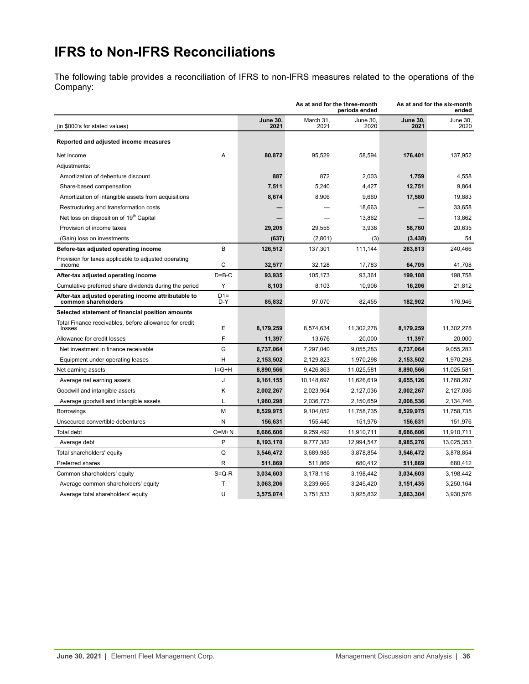# <span id="page-35-0"></span>**IFRS to Non-IFRS Reconciliations**

The following table provides a reconciliation of IFRS to non-IFRS measures related to the operations of the Company:

|                                                                            |              | As at and for the three-month<br>periods ended |                   |                  | As at and for the six-month<br>ended |                  |  |
|----------------------------------------------------------------------------|--------------|------------------------------------------------|-------------------|------------------|--------------------------------------|------------------|--|
| (in \$000's for stated values)                                             |              | <b>June 30,</b><br>2021                        | March 31,<br>2021 | June 30,<br>2020 | June 30,<br>2021                     | June 30,<br>2020 |  |
| Reported and adjusted income measures                                      |              |                                                |                   |                  |                                      |                  |  |
| Net income                                                                 | A            | 80,872                                         | 95,529            | 58,594           | 176,401                              | 137,952          |  |
| Adjustments:                                                               |              |                                                |                   |                  |                                      |                  |  |
| Amortization of debenture discount                                         |              | 887                                            | 872               | 2,003            | 1,759                                | 4,558            |  |
| Share-based compensation                                                   |              | 7,511                                          | 5,240             | 4,427            | 12,751                               | 9,864            |  |
| Amortization of intangible assets from acquisitions                        |              | 8,674                                          | 8,906             | 9,660            | 17,580                               | 19,883           |  |
| Restructuring and transformation costs                                     |              |                                                |                   | 18,663           |                                      | 33,658           |  |
| Net loss on disposition of 19th Capital                                    |              |                                                |                   | 13,862           |                                      | 13,862           |  |
| Provision of income taxes                                                  |              | 29,205                                         | 29,555            | 3,938            | 58,760                               | 20,635           |  |
| (Gain) loss on investments                                                 |              | (637)                                          | (2,801)           | (3)              | (3, 438)                             | 54               |  |
| Before-tax adjusted operating income                                       | B            | 126,512                                        | 137,301           | 111,144          | 263,813                              | 240,466          |  |
| Provision for taxes applicable to adjusted operating<br>income             | C            | 32.577                                         | 32,128            | 17,783           | 64,705                               | 41,708           |  |
| After-tax adjusted operating income                                        | $D = B - C$  | 93,935                                         | 105,173           | 93,361           | 199,108                              | 198,758          |  |
| Cumulative preferred share dividends during the period                     | Y            | 8,103                                          | 8,103             | 10,906           | 16,206                               | 21,812           |  |
| After-tax adjusted operating income attributable to<br>common shareholders | $D1=$<br>D-Y | 85,832                                         | 97,070            | 82,455           | 182,902                              | 176,946          |  |
| Selected statement of financial position amounts                           |              |                                                |                   |                  |                                      |                  |  |
| Total Finance receivables, before allowance for credit<br>losses           | E            | 8,179,259                                      | 8,574,634         | 11,302,278       | 8,179,259                            | 11,302,278       |  |
| Allowance for credit losses                                                | F            | 11,397                                         | 13,676            | 20,000           | 11,397                               | 20,000           |  |
| Net investment in finance receivable                                       | G            | 6,737,064                                      | 7,297,040         | 9,055,283        | 6,737,064                            | 9,055,283        |  |
| Equipment under operating leases                                           | н            | 2,153,502                                      | 2,129,823         | 1,970,298        | 2,153,502                            | 1,970,298        |  |
| Net earning assets                                                         | $I = G + H$  | 8.890.566                                      | 9.426.863         | 11,025,581       | 8.890.566                            | 11,025,581       |  |
| Average net earning assets                                                 | J            | 9,161,155                                      | 10,148,697        | 11,626,619       | 9,655,126                            | 11,768,287       |  |
| Goodwill and intangible assets                                             | Κ            | 2,002,267                                      | 2,023,964         | 2,127,036        | 2,002,267                            | 2,127,036        |  |
| Average goodwill and intangible assets                                     | Г            | 1,980,298                                      | 2,036,773         | 2,150,659        | 2,008,536                            | 2,134,746        |  |
| <b>Borrowings</b>                                                          | М            | 8,529,975                                      | 9,104,052         | 11,758,735       | 8,529,975                            | 11,758,735       |  |
| Unsecured convertible debentures                                           | N            | 156,631                                        | 155,440           | 151,976          | 156,631                              | 151,976          |  |
| Total debt                                                                 | $O=M+N$      | 8,686,606                                      | 9,259,492         | 11,910,711       | 8,686,606                            | 11,910,711       |  |
| Average debt                                                               | P            | 8,193,170                                      | 9,777,382         | 12,994,547       | 8,985,276                            | 13,025,353       |  |
| Total shareholders' equity                                                 | Q            | 3,546,472                                      | 3,689,985         | 3,878,854        | 3,546,472                            | 3,878,854        |  |
| Preferred shares                                                           | R            | 511,869                                        | 511,869           | 680,412          | 511,869                              | 680,412          |  |
| Common shareholders' equity                                                | $S = Q - R$  | 3,034,603                                      | 3,178,116         | 3,198,442        | 3,034,603                            | 3,198,442        |  |
| Average common shareholders' equity                                        | T            | 3,063,206                                      | 3,239,665         | 3,245,420        | 3,151,435                            | 3,250,164        |  |
| Average total shareholders' equity                                         | U            | 3.575.074                                      | 3,751,533         | 3,925,832        | 3.663.304                            | 3.930.576        |  |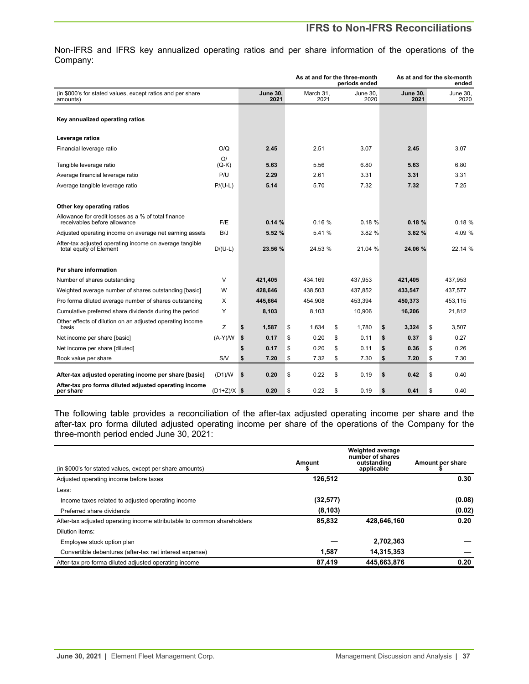## **IFRS to Non-IFRS Reconciliations**

Non-IFRS and IFRS key annualized operating ratios and per share information of the operations of the Company:

|                                                                                     |               | As at and for the three-month<br>periods ended |    |                   |    |                  | As at and for the six-month<br>ended |    |                  |
|-------------------------------------------------------------------------------------|---------------|------------------------------------------------|----|-------------------|----|------------------|--------------------------------------|----|------------------|
| (in \$000's for stated values, except ratios and per share<br>amounts)              |               | <b>June 30.</b><br>2021                        |    | March 31,<br>2021 |    | June 30,<br>2020 | <b>June 30.</b><br>2021              |    | June 30,<br>2020 |
| Key annualized operating ratios                                                     |               |                                                |    |                   |    |                  |                                      |    |                  |
| Leverage ratios                                                                     |               |                                                |    |                   |    |                  |                                      |    |                  |
| Financial leverage ratio                                                            | O/O           | 2.45                                           |    | 2.51              |    | 3.07             | 2.45                                 |    | 3.07             |
| Tangible leverage ratio                                                             | O/<br>$(Q-K)$ | 5.63                                           |    | 5.56              |    | 6.80             | 5.63                                 |    | 6.80             |
| Average financial leverage ratio                                                    | P/U           | 2.29                                           |    | 2.61              |    | 3.31             | 3.31                                 |    | 3.31             |
| Average tangible leverage ratio                                                     | $P/(U-L)$     | 5.14                                           |    | 5.70              |    | 7.32             | 7.32                                 |    | 7.25             |
| Other key operating ratios                                                          |               |                                                |    |                   |    |                  |                                      |    |                  |
| Allowance for credit losses as a % of total finance<br>receivables before allowance | F/E           | 0.14%                                          |    | 0.16%             |    | 0.18%            | 0.18%                                |    | 0.18%            |
| Adjusted operating income on average net earning assets                             | B/J           | 5.52 %                                         |    | 5.41 %            |    | 3.82 %           | 3.82 %                               |    | 4.09 %           |
| After-tax adjusted operating income on average tangible<br>total equity of Element  | $D/(U-L)$     | 23.56 %                                        |    | 24.53 %           |    | 21.04 %          | 24.06 %                              |    | 22.14 %          |
| Per share information                                                               |               |                                                |    |                   |    |                  |                                      |    |                  |
| Number of shares outstanding                                                        | V             | 421,405                                        |    | 434,169           |    | 437,953          | 421,405                              |    | 437,953          |
| Weighted average number of shares outstanding [basic]                               | W             | 428,646                                        |    | 438,503           |    | 437,852          | 433,547                              |    | 437,577          |
| Pro forma diluted average number of shares outstanding                              | X             | 445,664                                        |    | 454.908           |    | 453.394          | 450,373                              |    | 453.115          |
| Cumulative preferred share dividends during the period                              | Y             | 8,103                                          |    | 8,103             |    | 10,906           | 16,206                               |    | 21,812           |
| Other effects of dilution on an adjusted operating income<br>basis                  | Z             | \$<br>1,587                                    | \$ | 1.634             | \$ | 1.780            | \$<br>3,324                          | \$ | 3.507            |
| Net income per share [basic]                                                        | $(A-Y)/W$     | \$<br>0.17                                     | \$ | 0.20              | \$ | 0.11             | \$<br>0.37                           | \$ | 0.27             |
| Net income per share [diluted]                                                      |               | \$<br>0.17                                     | \$ | 0.20              | \$ | 0.11             | \$<br>0.36                           | \$ | 0.26             |
| Book value per share                                                                | S/V           | \$<br>7.20                                     | \$ | 7.32              | \$ | 7.30             | \$<br>7.20                           | \$ | 7.30             |
| After-tax adjusted operating income per share [basic]                               | (D1)/W        | \$<br>0.20                                     | \$ | 0.22              | \$ | 0.19             | \$<br>0.42                           | \$ | 0.40             |
| After-tax pro forma diluted adjusted operating income<br>per share                  | $(D1+Z)/X$ \$ | 0.20                                           | \$ | 0.22              | \$ | 0.19             | \$<br>0.41                           | \$ | 0.40             |

The following table provides a reconciliation of the after-tax adjusted operating income per share and the after-tax pro forma diluted adjusted operating income per share of the operations of the Company for the three-month period ended June 30, 2021:

| (in \$000's for stated values, except per share amounts)                | Amount    | <b>Weighted average</b><br>number of shares<br>outstanding<br>applicable | Amount per share |
|-------------------------------------------------------------------------|-----------|--------------------------------------------------------------------------|------------------|
| Adjusted operating income before taxes                                  | 126,512   |                                                                          | 0.30             |
| Less:                                                                   |           |                                                                          |                  |
| Income taxes related to adjusted operating income                       | (32, 577) |                                                                          | (0.08)           |
| Preferred share dividends                                               | (8, 103)  |                                                                          | (0.02)           |
| After-tax adjusted operating income attributable to common shareholders | 85,832    | 428.646.160                                                              | 0.20             |
| Dilution items:                                                         |           |                                                                          |                  |
| Employee stock option plan                                              |           | 2,702,363                                                                |                  |
| Convertible debentures (after-tax net interest expense)                 | 1.587     | 14,315,353                                                               |                  |
| After-tax pro forma diluted adjusted operating income                   | 87.419    | 445.663.876                                                              | 0.20             |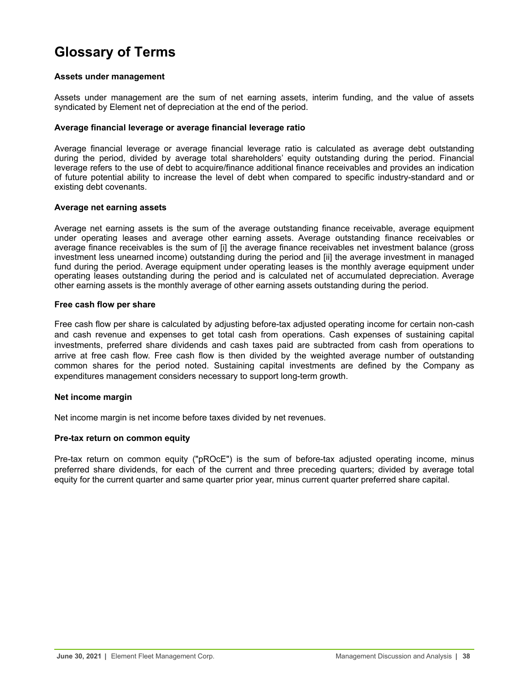## <span id="page-37-0"></span>**Glossary of Terms**

### **Assets under management**

Assets under management are the sum of net earning assets, interim funding, and the value of assets syndicated by Element net of depreciation at the end of the period.

### **Average financial leverage or average financial leverage ratio**

Average financial leverage or average financial leverage ratio is calculated as average debt outstanding during the period, divided by average total shareholders' equity outstanding during the period. Financial leverage refers to the use of debt to acquire/finance additional finance receivables and provides an indication of future potential ability to increase the level of debt when compared to specific industry-standard and or existing debt covenants.

## **Average net earning assets**

Average net earning assets is the sum of the average outstanding finance receivable, average equipment under operating leases and average other earning assets. Average outstanding finance receivables or average finance receivables is the sum of [i] the average finance receivables net investment balance (gross investment less unearned income) outstanding during the period and [ii] the average investment in managed fund during the period. Average equipment under operating leases is the monthly average equipment under operating leases outstanding during the period and is calculated net of accumulated depreciation. Average other earning assets is the monthly average of other earning assets outstanding during the period.

## **Free cash flow per share**

Free cash flow per share is calculated by adjusting before-tax adjusted operating income for certain non-cash and cash revenue and expenses to get total cash from operations. Cash expenses of sustaining capital investments, preferred share dividends and cash taxes paid are subtracted from cash from operations to arrive at free cash flow. Free cash flow is then divided by the weighted average number of outstanding common shares for the period noted. Sustaining capital investments are defined by the Company as expenditures management considers necessary to support long-term growth.

## **Net income margin**

Net income margin is net income before taxes divided by net revenues.

## **Pre-tax return on common equity**

Pre-tax return on common equity ("pROcE") is the sum of before-tax adjusted operating income, minus preferred share dividends, for each of the current and three preceding quarters; divided by average total equity for the current quarter and same quarter prior year, minus current quarter preferred share capital.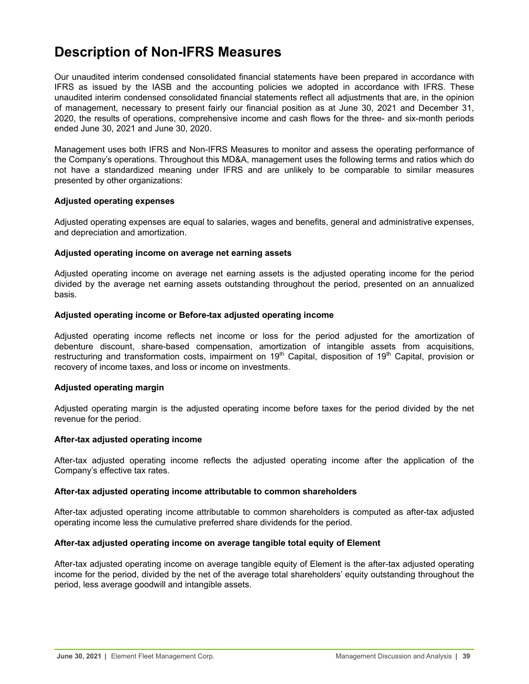## <span id="page-38-0"></span>**Description of Non-IFRS Measures**

Our unaudited interim condensed consolidated financial statements have been prepared in accordance with IFRS as issued by the IASB and the accounting policies we adopted in accordance with IFRS. These unaudited interim condensed consolidated financial statements reflect all adjustments that are, in the opinion of management, necessary to present fairly our financial position as at June 30, 2021 and December 31, 2020, the results of operations, comprehensive income and cash flows for the three- and six-month periods ended June 30, 2021 and June 30, 2020.

Management uses both IFRS and Non-IFRS Measures to monitor and assess the operating performance of the Company's operations. Throughout this MD&A, management uses the following terms and ratios which do not have a standardized meaning under IFRS and are unlikely to be comparable to similar measures presented by other organizations:

## **Adjusted operating expenses**

Adjusted operating expenses are equal to salaries, wages and benefits, general and administrative expenses, and depreciation and amortization.

## **Adjusted operating income on average net earning assets**

Adjusted operating income on average net earning assets is the adjusted operating income for the period divided by the average net earning assets outstanding throughout the period, presented on an annualized basis.

## **Adjusted operating income or Before-tax adjusted operating income**

Adjusted operating income reflects net income or loss for the period adjusted for the amortization of debenture discount, share-based compensation, amortization of intangible assets from acquisitions, restructuring and transformation costs, impairment on 19<sup>th</sup> Capital, disposition of 19<sup>th</sup> Capital, provision or recovery of income taxes, and loss or income on investments.

## **Adjusted operating margin**

Adjusted operating margin is the adjusted operating income before taxes for the period divided by the net revenue for the period.

### **After-tax adjusted operating income**

After-tax adjusted operating income reflects the adjusted operating income after the application of the Company's effective tax rates.

### **After-tax adjusted operating income attributable to common shareholders**

After-tax adjusted operating income attributable to common shareholders is computed as after-tax adjusted operating income less the cumulative preferred share dividends for the period.

### **After-tax adjusted operating income on average tangible total equity of Element**

After-tax adjusted operating income on average tangible equity of Element is the after-tax adjusted operating income for the period, divided by the net of the average total shareholders' equity outstanding throughout the period, less average goodwill and intangible assets.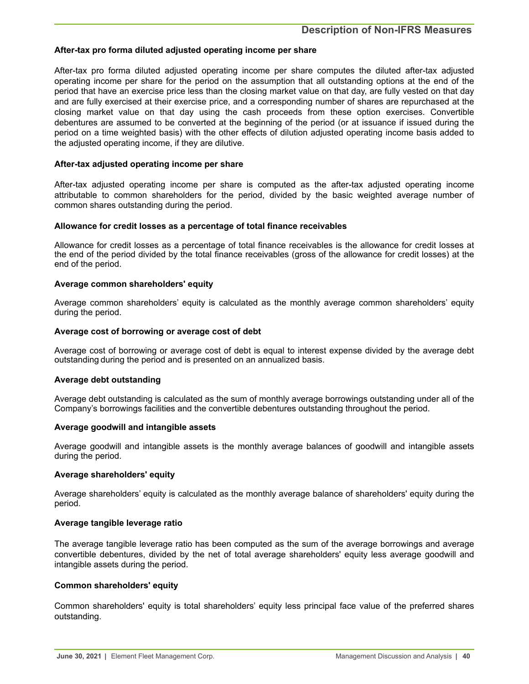## **After-tax pro forma diluted adjusted operating income per share**

After-tax pro forma diluted adjusted operating income per share computes the diluted after-tax adjusted operating income per share for the period on the assumption that all outstanding options at the end of the period that have an exercise price less than the closing market value on that day, are fully vested on that day and are fully exercised at their exercise price, and a corresponding number of shares are repurchased at the closing market value on that day using the cash proceeds from these option exercises. Convertible debentures are assumed to be converted at the beginning of the period (or at issuance if issued during the period on a time weighted basis) with the other effects of dilution adjusted operating income basis added to the adjusted operating income, if they are dilutive.

### **After-tax adjusted operating income per share**

After-tax adjusted operating income per share is computed as the after-tax adjusted operating income attributable to common shareholders for the period, divided by the basic weighted average number of common shares outstanding during the period.

### **Allowance for credit losses as a percentage of total finance receivables**

Allowance for credit losses as a percentage of total finance receivables is the allowance for credit losses at the end of the period divided by the total finance receivables (gross of the allowance for credit losses) at the end of the period.

### **Average common shareholders' equity**

Average common shareholders' equity is calculated as the monthly average common shareholders' equity during the period.

### **Average cost of borrowing or average cost of debt**

Average cost of borrowing or average cost of debt is equal to interest expense divided by the average debt outstanding during the period and is presented on an annualized basis.

### **Average debt outstanding**

Average debt outstanding is calculated as the sum of monthly average borrowings outstanding under all of the Company's borrowings facilities and the convertible debentures outstanding throughout the period.

#### **Average goodwill and intangible assets**

Average goodwill and intangible assets is the monthly average balances of goodwill and intangible assets during the period.

### **Average shareholders' equity**

Average shareholders' equity is calculated as the monthly average balance of shareholders' equity during the period.

### **Average tangible leverage ratio**

The average tangible leverage ratio has been computed as the sum of the average borrowings and average convertible debentures, divided by the net of total average shareholders' equity less average goodwill and intangible assets during the period.

### **Common shareholders' equity**

Common shareholders' equity is total shareholders' equity less principal face value of the preferred shares outstanding.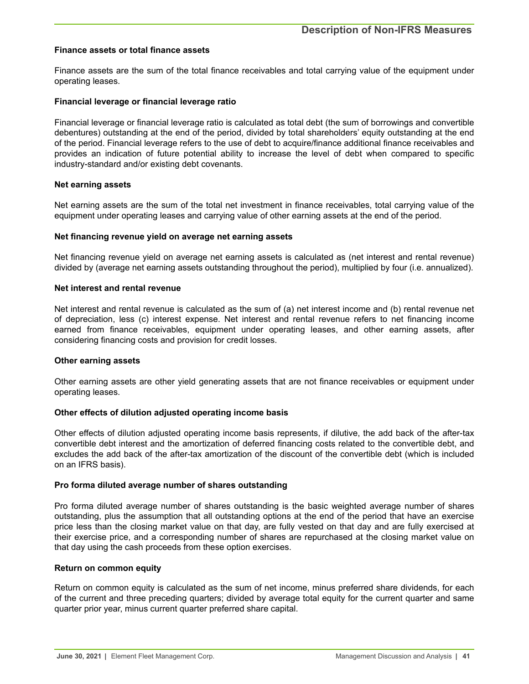#### **Finance assets or total finance assets**

Finance assets are the sum of the total finance receivables and total carrying value of the equipment under operating leases.

#### **Financial leverage or financial leverage ratio**

Financial leverage or financial leverage ratio is calculated as total debt (the sum of borrowings and convertible debentures) outstanding at the end of the period, divided by total shareholders' equity outstanding at the end of the period. Financial leverage refers to the use of debt to acquire/finance additional finance receivables and provides an indication of future potential ability to increase the level of debt when compared to specific industry-standard and/or existing debt covenants.

#### **Net earning assets**

Net earning assets are the sum of the total net investment in finance receivables, total carrying value of the equipment under operating leases and carrying value of other earning assets at the end of the period.

#### **Net financing revenue yield on average net earning assets**

Net financing revenue yield on average net earning assets is calculated as (net interest and rental revenue) divided by (average net earning assets outstanding throughout the period), multiplied by four (i.e. annualized).

#### **Net interest and rental revenue**

Net interest and rental revenue is calculated as the sum of (a) net interest income and (b) rental revenue net of depreciation, less (c) interest expense. Net interest and rental revenue refers to net financing income earned from finance receivables, equipment under operating leases, and other earning assets, after considering financing costs and provision for credit losses.

### **Other earning assets**

Other earning assets are other yield generating assets that are not finance receivables or equipment under operating leases.

## **Other effects of dilution adjusted operating income basis**

Other effects of dilution adjusted operating income basis represents, if dilutive, the add back of the after-tax convertible debt interest and the amortization of deferred financing costs related to the convertible debt, and excludes the add back of the after-tax amortization of the discount of the convertible debt (which is included on an IFRS basis).

#### **Pro forma diluted average number of shares outstanding**

Pro forma diluted average number of shares outstanding is the basic weighted average number of shares outstanding, plus the assumption that all outstanding options at the end of the period that have an exercise price less than the closing market value on that day, are fully vested on that day and are fully exercised at their exercise price, and a corresponding number of shares are repurchased at the closing market value on that day using the cash proceeds from these option exercises.

### **Return on common equity**

Return on common equity is calculated as the sum of net income, minus preferred share dividends, for each of the current and three preceding quarters; divided by average total equity for the current quarter and same quarter prior year, minus current quarter preferred share capital.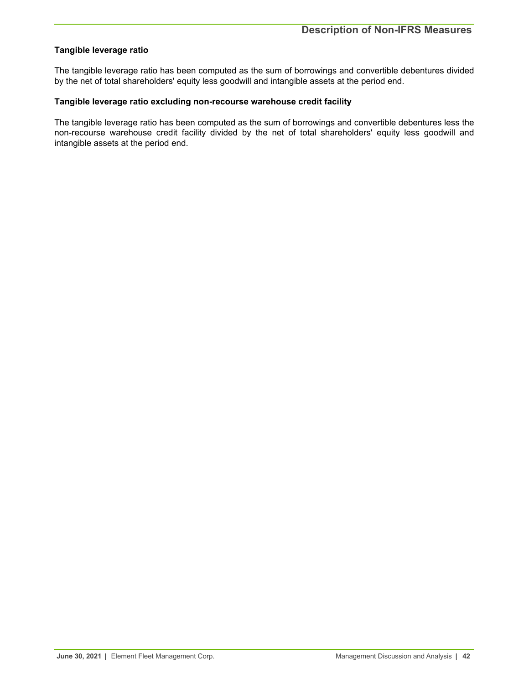## **Tangible leverage ratio**

The tangible leverage ratio has been computed as the sum of borrowings and convertible debentures divided by the net of total shareholders' equity less goodwill and intangible assets at the period end.

## **Tangible leverage ratio excluding non-recourse warehouse credit facility**

The tangible leverage ratio has been computed as the sum of borrowings and convertible debentures less the non-recourse warehouse credit facility divided by the net of total shareholders' equity less goodwill and intangible assets at the period end.